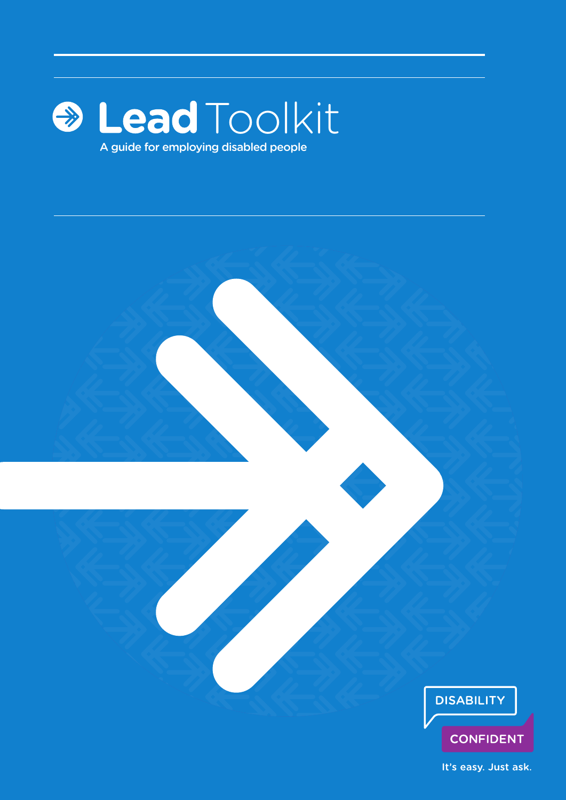

A guide for employing disabled people



**CONFIDENT** 

It's easy. Just ask.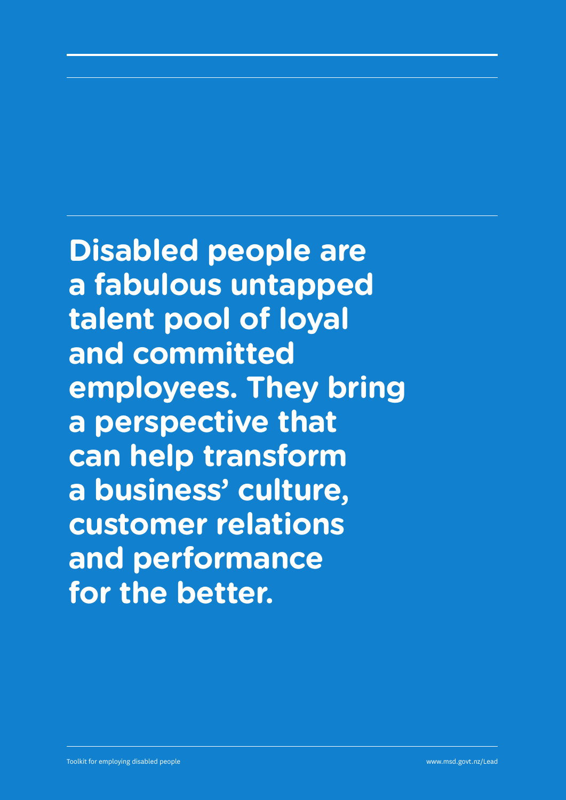**Disabled people are a fabulous untapped talent pool of loyal and committed employees. They bring a perspective that can help transform a business' culture, customer relations and performance for the better.**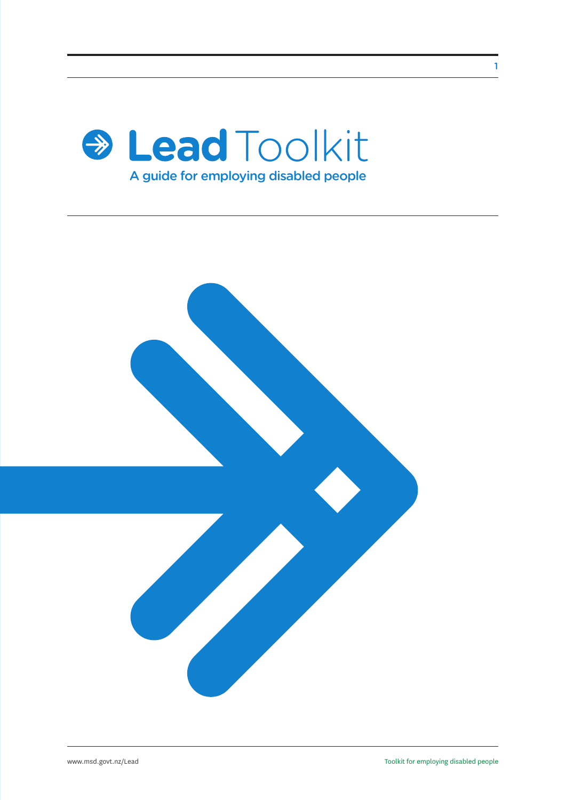



1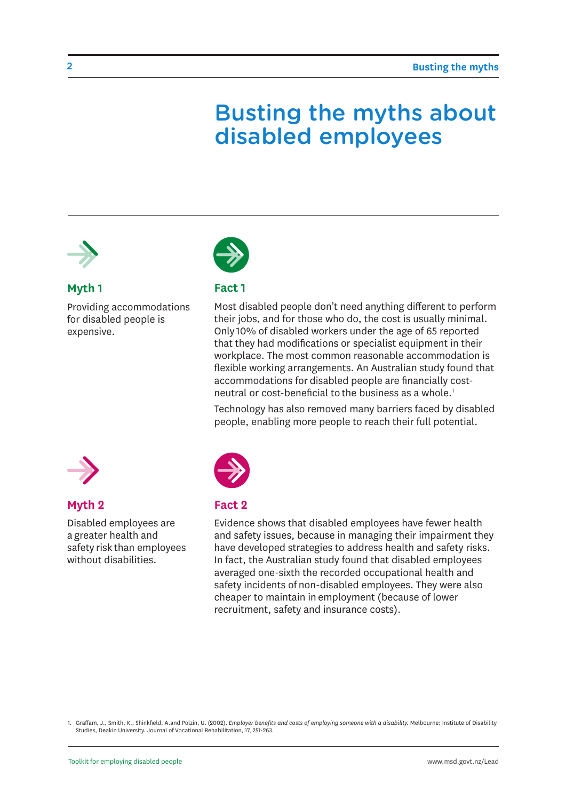### Busting the myths about disabled employees



#### **Myth 1**

Providing accommodations for disabled people is expensive.



#### **Fact 1**

Most disabled people don't need anything different to perform their jobs, and for those who do, the cost is usually minimal. Only 10% of disabled workers under the age of 65 reported that they had modifications or specialist equipment in their workplace. The most common reasonable accommodation is flexible working arrangements. An Australian study found that accommodations for disabled people are financially costneutral or cost-beneficial to the business as a whole.<sup>1</sup>

Technology has also removed many barriers faced by disabled people, enabling more people to reach their full potential.



#### **Myth 2**

Disabled employees are a greater health and safety risk than employees without disabilities.



#### **Fact 2**

Evidence shows that disabled employees have fewer health and safety issues, because in managing their impairment they have developed strategies to address health and safety risks. In fact, the Australian study found that disabled employees averaged one-sixth the recorded occupational health and safety incidents of non-disabled employees. They were also cheaper to maintain in employment (because of lower recruitment, safety and insurance costs).

1. Graffam, J., Smith, K., Shinkfield, A.and Polzin, U. (2002). *Employer benefits and costs of employing someone with a disability.* Melbourne: Institute of Disability Studies, Deakin University. Journal of Vocational Rehabilitation, 17, 251-263.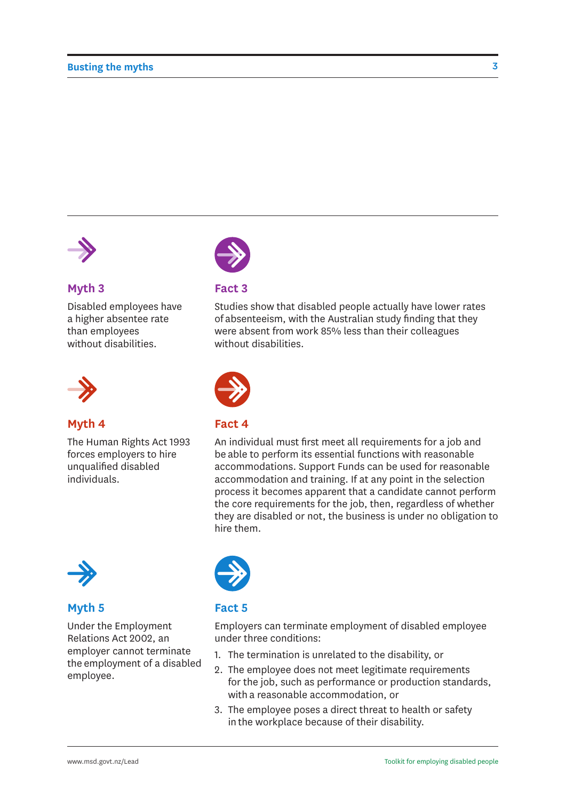

#### **Myth 3**

Disabled employees have a higher absentee rate than employees without disabilities.



#### **Myth 4**

The Human Rights Act 1993 forces employers to hire unqualified disabled individuals.



#### **Fact 3**

Studies show that disabled people actually have lower rates of absenteeism, with the Australian study finding that they were absent from work 85% less than their colleagues without disabilities.



#### **Fact 4**

An individual must first meet all requirements for a job and be able to perform its essential functions with reasonable accommodations. Support Funds can be used for reasonable accommodation and training. If at any point in the selection process it becomes apparent that a candidate cannot perform the core requirements for the job, then, regardless of whether they are disabled or not, the business is under no obligation to hire them.



#### **Myth 5**

Under the Employment Relations Act 2002, an employer cannot terminate the employment of a disabled employee.



#### **Fact 5**

Employers can terminate employment of disabled employee under three conditions:

- 1. The termination is unrelated to the disability, or
- 2. The employee does not meet legitimate requirements for the job, such as performance or production standards, with a reasonable accommodation, or
- 3. The employee poses a direct threat to health or safety in the workplace because of their disability.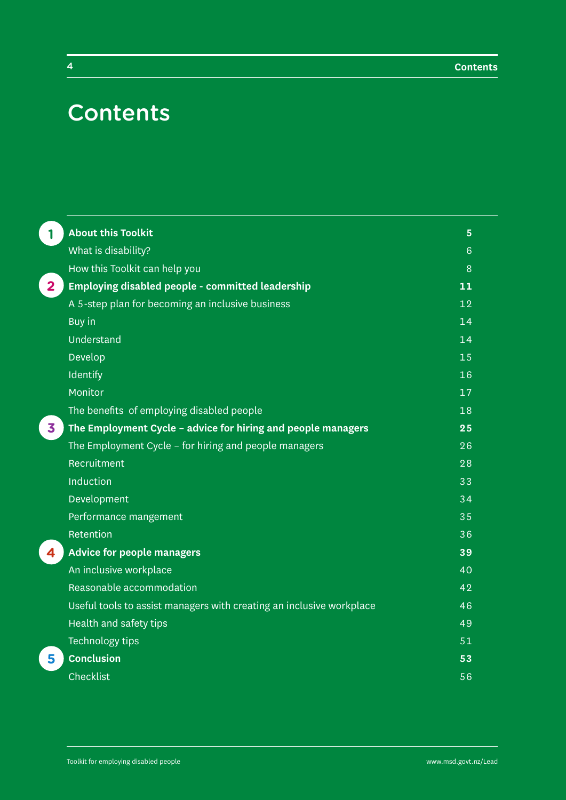### **Contents**

| 1              | <b>About this Toolkit</b>                                            | $5\phantom{1}$ |
|----------------|----------------------------------------------------------------------|----------------|
|                | What is disability?                                                  | 6              |
|                | How this Toolkit can help you                                        | 8              |
| $\overline{2}$ | Employing disabled people - committed leadership                     | 11             |
|                | A 5-step plan for becoming an inclusive business                     | 12             |
|                | Buy in                                                               | 14             |
|                | Understand                                                           | 14             |
|                | Develop                                                              | 15             |
|                | Identify                                                             | 16             |
|                | Monitor                                                              | 17             |
|                | The benefits of employing disabled people                            | 18             |
| 3              | The Employment Cycle - advice for hiring and people managers         | 25             |
|                | The Employment Cycle - for hiring and people managers                | 26             |
|                | Recruitment                                                          | 28             |
|                | Induction                                                            | 33             |
|                | Development                                                          | 34             |
|                | Performance mangement                                                | 35             |
|                | Retention                                                            | 36             |
| 4              | <b>Advice for people managers</b>                                    | 39             |
|                | An inclusive workplace                                               | 40             |
|                | Reasonable accommodation                                             | 42             |
|                | Useful tools to assist managers with creating an inclusive workplace | 46             |
|                | Health and safety tips                                               | 49             |
|                | Technology tips                                                      | 51             |
| 5              | <b>Conclusion</b>                                                    | 53             |
|                | Checklist                                                            | 56             |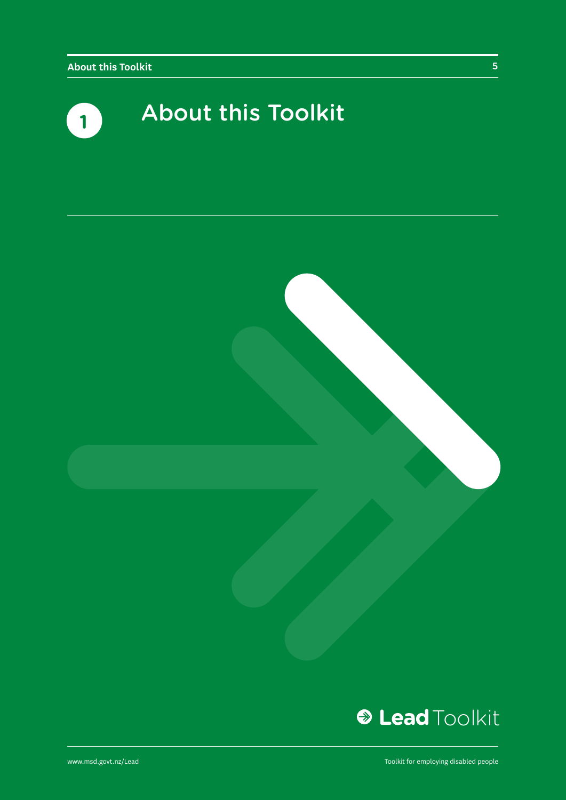





www.msd.govt.nz/Lead

Toolkit for employing disabled people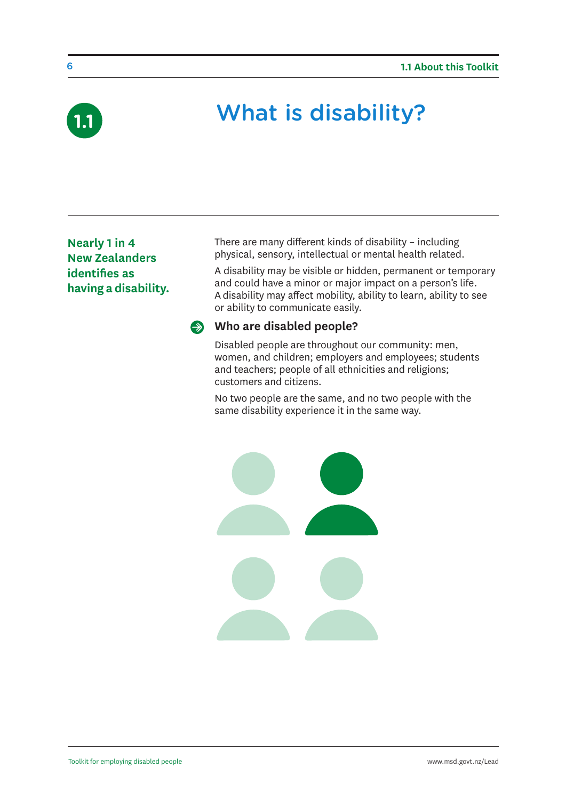

# What is disability? **1.1**

**Nearly 1 in 4 New Zealanders identifies as having a disability.** There are many different kinds of disability – including physical, sensory, intellectual or mental health related.

A disability may be visible or hidden, permanent or temporary and could have a minor or major impact on a person's life. A disability may affect mobility, ability to learn, ability to see or ability to communicate easily.

#### **Who are disabled people?**

Disabled people are throughout our community: men, women, and children; employers and employees; students and teachers; people of all ethnicities and religions; customers and citizens.

No two people are the same, and no two people with the same disability experience it in the same way.

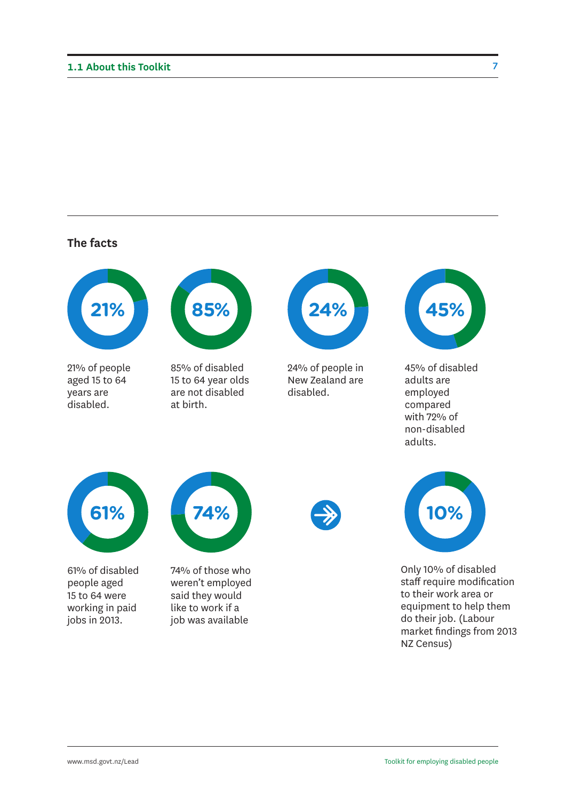#### **The facts**



21% of people aged 15 to 64 years are disabled.



85% of disabled 15 to 64 year olds are not disabled at birth.



24% of people in New Zealand are disabled.



45% of disabled adults are employed compared with 72% of non-disabled adults.



61% of disabled people aged 15 to 64 were working in paid jobs in 2013.



74% of those who weren't employed said they would like to work if a job was available





Only 10% of disabled staff require modification to their work area or equipment to help them do their job. (Labour market findings from 2013 NZ Census)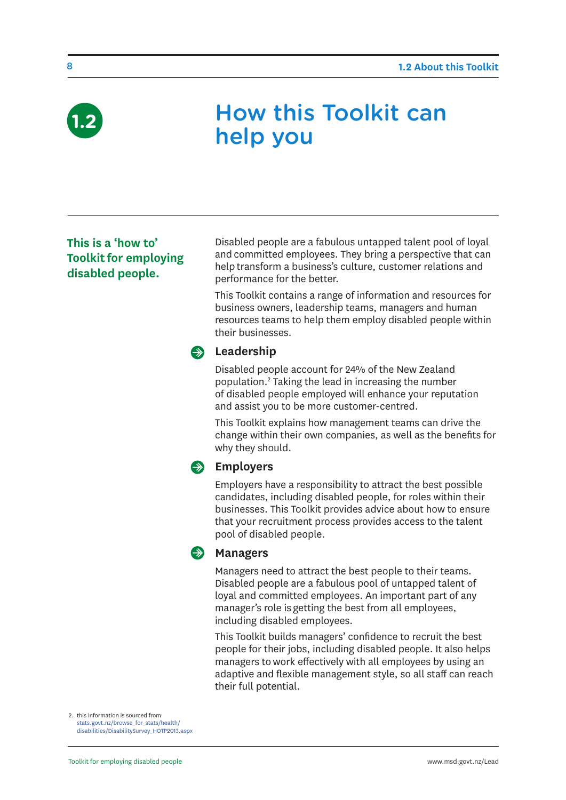

### How this Toolkit can help you

#### **This is a 'how to' Toolkit for employing disabled people.**

Disabled people are a fabulous untapped talent pool of loyal and committed employees. They bring a perspective that can help transform a business's culture, customer relations and performance for the better.

This Toolkit contains a range of information and resources for business owners, leadership teams, managers and human resources teams to help them employ disabled people within their businesses.

#### **Example 2** Leadership

Disabled people account for 24% of the New Zealand population.2 Taking the lead in increasing the number of disabled people employed will enhance your reputation and assist you to be more customer-centred.

This Toolkit explains how management teams can drive the change within their own companies, as well as the benefits for why they should.

#### **Employers**

Employers have a responsibility to attract the best possible candidates, including disabled people, for roles within their businesses. This Toolkit provides advice about how to ensure that your recruitment process provides access to the talent pool of disabled people.

#### **Managers**

Managers need to attract the best people to their teams. Disabled people are a fabulous pool of untapped talent of loyal and committed employees. An important part of any manager's role is getting the best from all employees, including disabled employees.

This Toolkit builds managers' confidence to recruit the best people for their jobs, including disabled people. It also helps managers to work effectively with all employees by using an adaptive and flexible management style, so all staff can reach their full potential.

2. this information is sourced from [stats.govt.nz/browse\\_for\\_stats/health/](stats.govt.nz/browse_for_stats/health/disabilities/DisabilitySurvey_HOTP2013.aspx) [disabilities/DisabilitySurvey\\_HOTP2013.aspx](stats.govt.nz/browse_for_stats/health/disabilities/DisabilitySurvey_HOTP2013.aspx)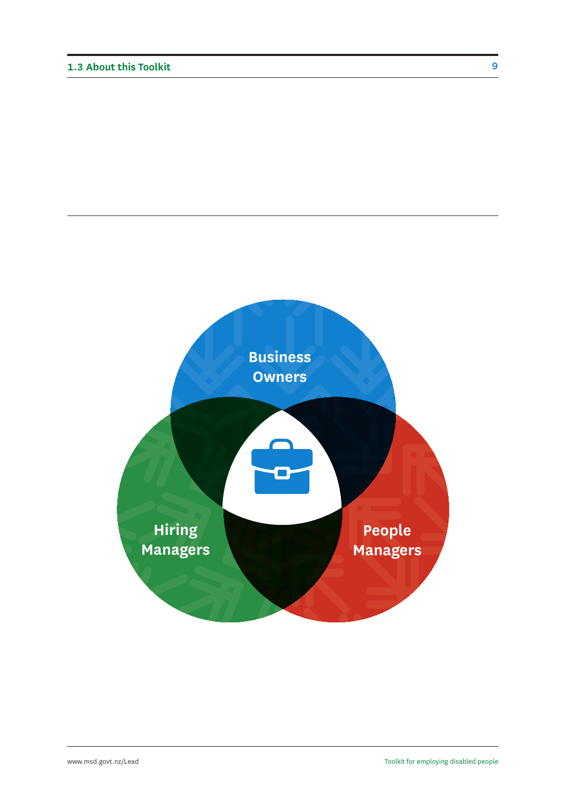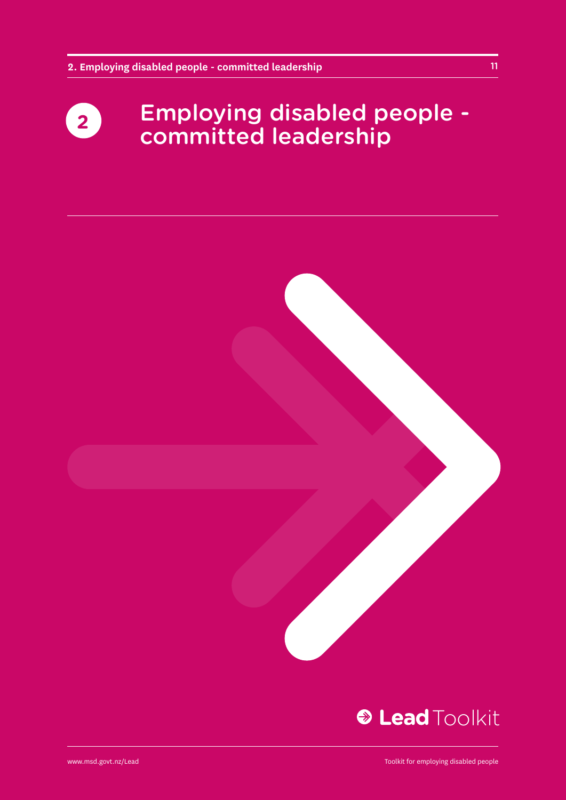### Employing disabled people - **2** Eniproying disabled provided



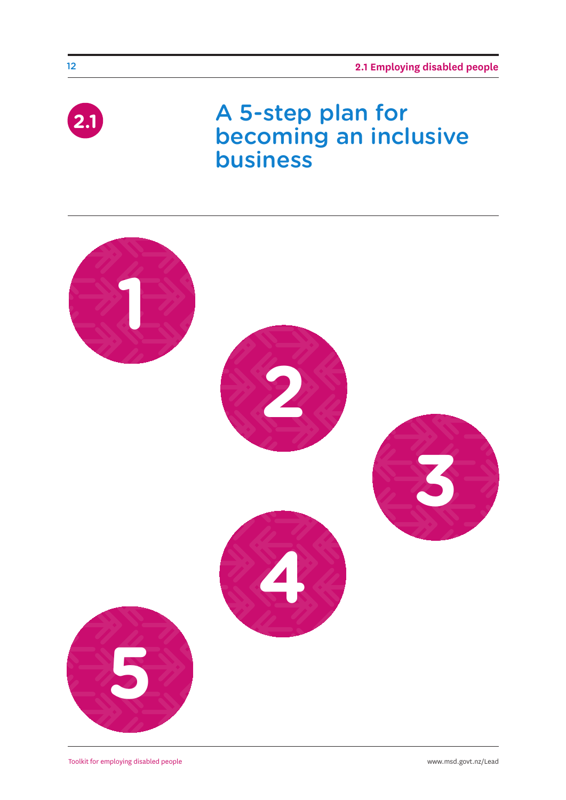

### A 5-step plan for becoming an inclusive business

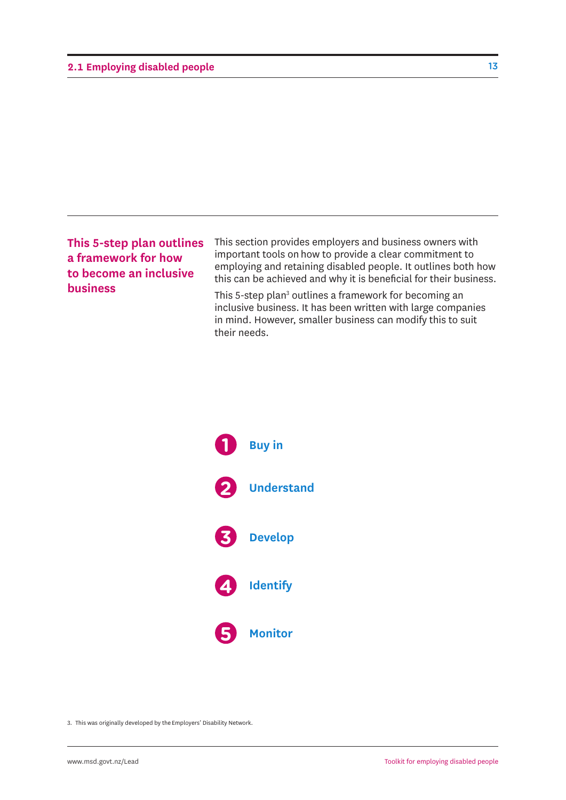#### **2.1 Employing disabled people**

#### **This 5-step plan outlines a framework for how to become an inclusive business**

This section provides employers and business owners with important tools on how to provide a clear commitment to employing and retaining disabled people. It outlines both how this can be achieved and why it is beneficial for their business.

This 5-step plan<sup>3</sup> outlines a framework for becoming an inclusive business. It has been written with large companies in mind. However, smaller business can modify this to suit their needs.



3. This was originally developed by the Employers' Disability Network.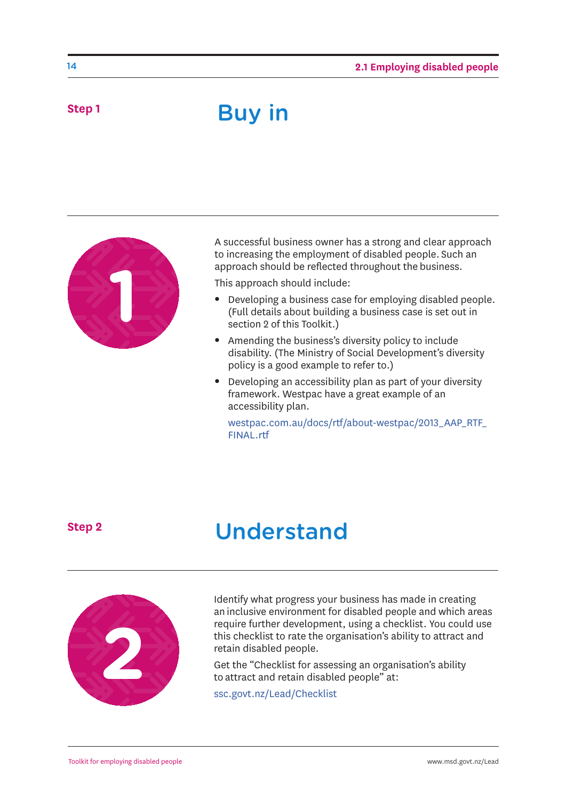### Buy in



A successful business owner has a strong and clear approach to increasing the employment of disabled people. Such an approach should be reflected throughout the business.

This approach should include:

- Developing a business case for employing disabled people. (Full details about building a business case is set out in section 2 of this Toolkit.)
- Amending the business's diversity policy to include disability. (The Ministry of Social Development's diversity policy is a good example to refer to.)
- Developing an accessibility plan as part of your diversity framework. Westpac have a great example of an accessibility plan.

[westpac.com.au/docs/rtf/about-westpac/2013\\_AAP\\_RTF\\_](westpac.com.au/docs/rtf/about-westpac/2013_AAP_RTF_FINAL.rtf) FINAL.rtf

**Step 2**

### Understand



Identify what progress your business has made in creating an inclusive environment for disabled people and which areas require further development, using a checklist. You could use this checklist to rate the organisation's ability to attract and retain disabled people.

Get the "Checklist for assessing an organisation's ability to attract and retain disabled people" at:

<ssc.govt.nz/Lead/Checklist>

14

**Step 1**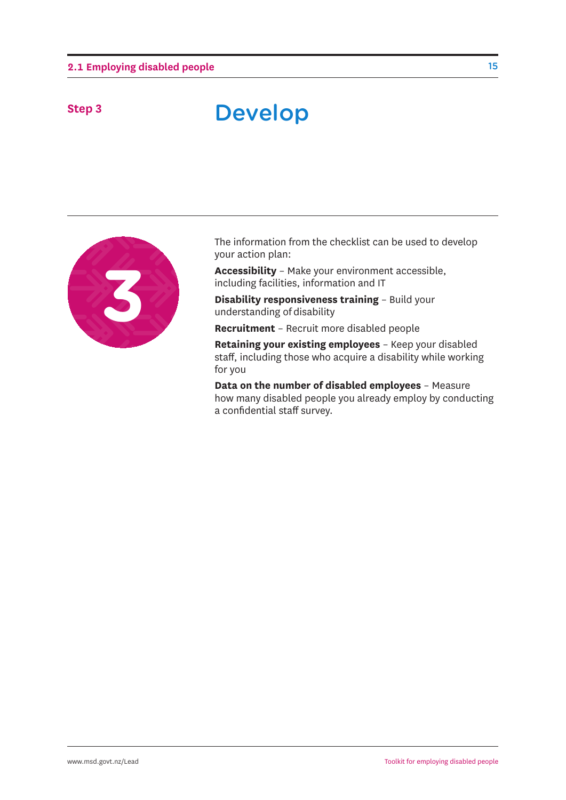### Step 3 **Develop**



The information from the checklist can be used to develop your action plan:

**Accessibility** – Make your environment accessible, including facilities, information and IT

**Disability responsiveness training** – Build your understanding of disability

**Recruitment** – Recruit more disabled people

**Retaining your existing employees** – Keep your disabled staff, including those who acquire a disability while working for you

**Data on the number of disabled employees** – Measure how many disabled people you already employ by conducting a confidential staff survey.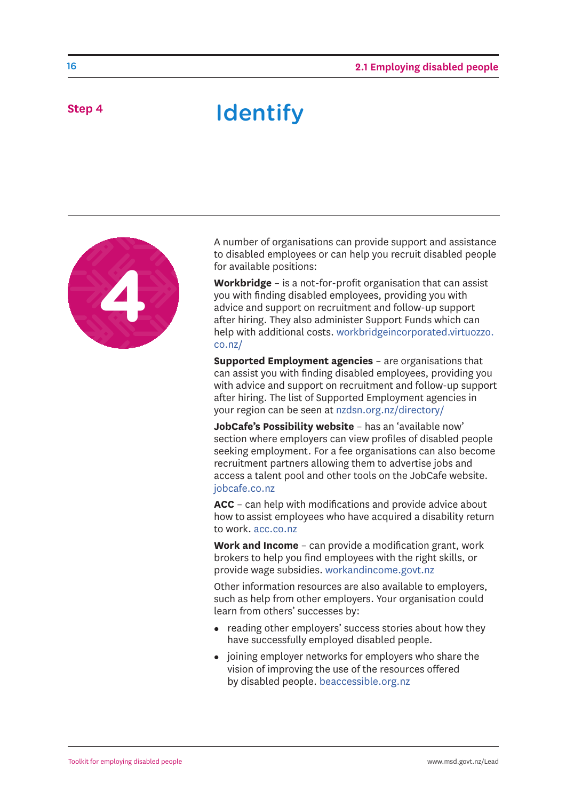### step 4 **Identify**



A number of organisations can provide support and assistance to disabled employees or can help you recruit disabled people for available positions:

**Workbridge** – is a not-for-profit organisation that can assist you with finding disabled employees, providing you with advice and support on recruitment and follow-up support after hiring. They also administer Support Funds which can [help with additional costs. workbridgeincorporated.virtuozzo.](workbridgeincorporated.virtuozzo. co.nz/) co.nz/

**Supported Employment agencies** – are organisations that can assist you with finding disabled employees, providing you with advice and support on recruitment and follow-up support after hiring. The list of Supported Employment agencies in your region can be seen at <nzdsn.org.nz/directory/>

**JobCafe's Possibility website** – has an 'available now' section where employers can view profiles of disabled people seeking employment. For a fee organisations can also become recruitment partners allowing them to advertise jobs and access a talent pool and other tools on the JobCafe website. <jobcafe.co.nz>

**ACC** – can help with modifications and provide advice about how to assist employees who have acquired a disability return to work.<acc.co.nz>

**Work and Income** – can provide a modification grant, work brokers to help you find employees with the right skills, or provide wage subsidies.<workandincome.govt.nz>

Other information resources are also available to employers, such as help from other employers. Your organisation could learn from others' successes by:

- reading other employers' success stories about how they have successfully employed disabled people.
- joining employer networks for employers who share the vision of improving the use of the resources offered by disabled people.<beaccessible.org.nz>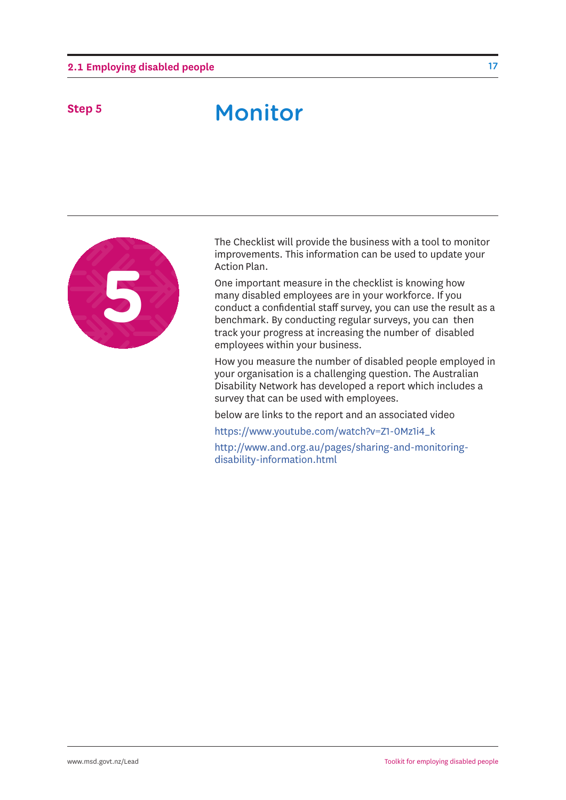### Monitor **Step 5**



The Checklist will provide the business with a tool to monitor improvements. This information can be used to update your Action Plan.

One important measure in the checklist is knowing how many disabled employees are in your workforce. If you conduct a confidential staff survey, you can use the result as a benchmark. By conducting regular surveys, you can then track your progress at increasing the number of disabled employees within your business.

How you measure the number of disabled people employed in your organisation is a challenging question. The Australian Disability Network has developed a report which includes a survey that can be used with employees.

below are links to the report and an associated video

[https://www.youtube.com/watch?v=Z1-0Mz1i4\\_k](https://www.youtube.com/watch?v=Z1-0Mz1i4_k)

[http://www.and.org.au/pages/sharing-and-monitoring](http://www.and.org.au/pages/sharing-and-monitoring-disability-information.html)disability-information.html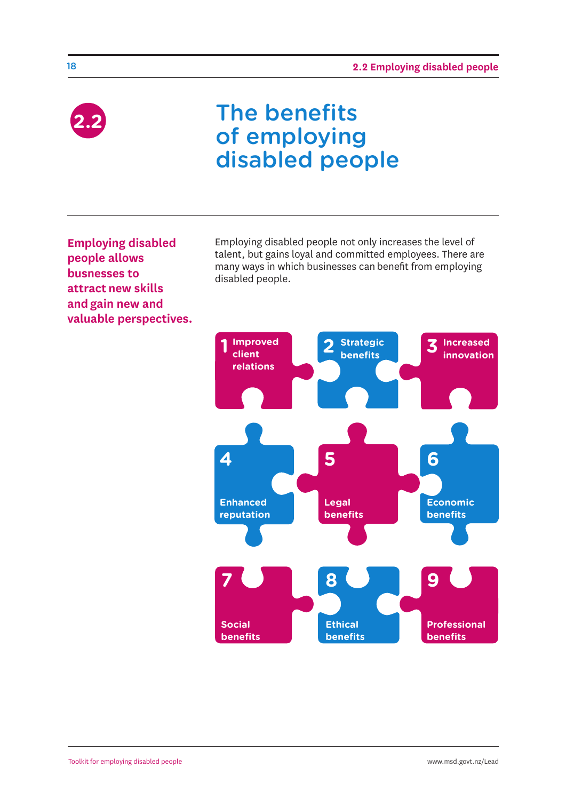

### The benefits of employing disabled people

**Employing disabled people allows busnesses to attract new skills and gain new and valuable perspectives.** Employing disabled people not only increases the level of talent, but gains loyal and committed employees. There are many ways in which businesses can benefit from employing disabled people.

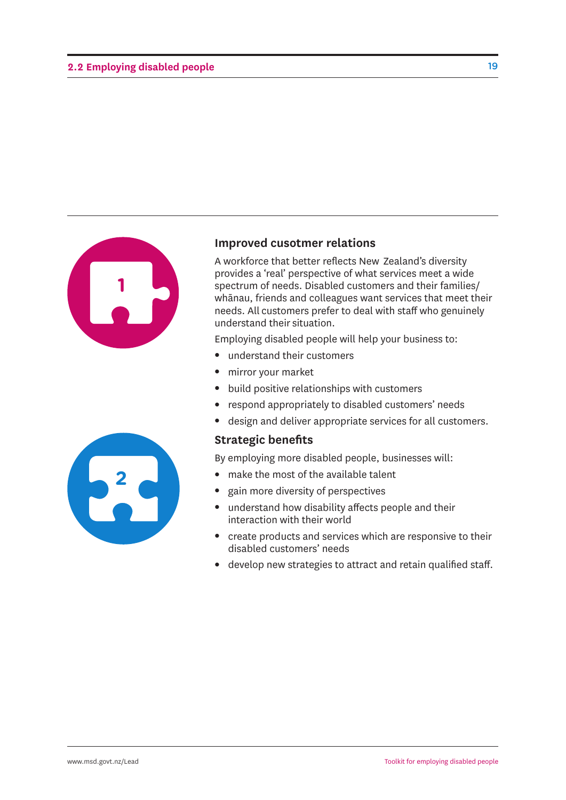

#### **Improved cusotmer relations**

A workforce that better reflects New Zealand's diversity provides a 'real' perspective of what services meet a wide spectrum of needs. Disabled customers and their families/ whānau, friends and colleagues want services that meet their needs. All customers prefer to deal with staff who genuinely understand their situation.

Employing disabled people will help your business to:

- $\bullet$  understand their customers
- mirror your market
- $\bullet$  build positive relationships with customers
- respond appropriately to disabled customers' needs
- design and deliver appropriate services for all customers.

#### **Strategic benefits**

By employing more disabled people, businesses will:

- $\bullet$  make the most of the available talent
- gain more diversity of perspectives
- $\bullet$  understand how disability affects people and their interaction with their world
- create products and services which are responsive to their disabled customers' needs
- develop new strategies to attract and retain qualified staff.

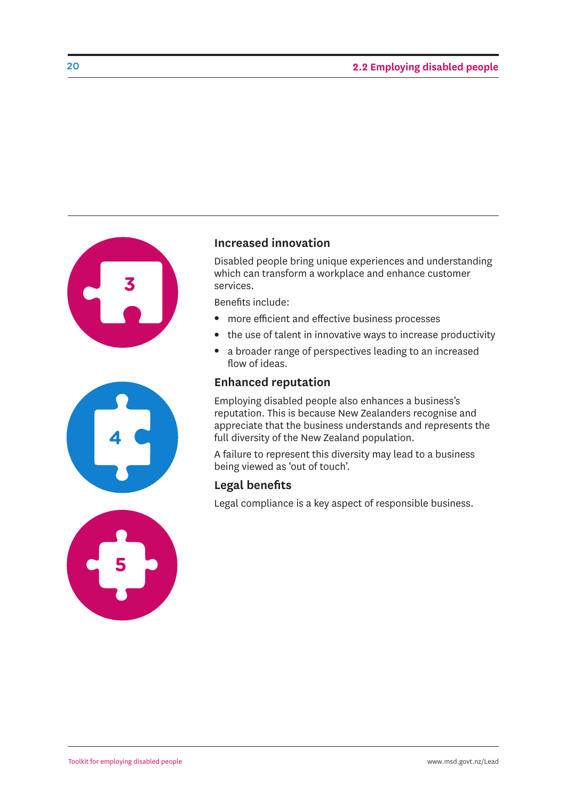



#### **Increased innovation**

Disabled people bring unique experiences and understanding which can transform a workplace and enhance customer services.

Benefits include:

- more efficient and effective business processes
- $\bullet$  the use of talent in innovative ways to increase productivity
- a broader range of perspectives leading to an increased flow of ideas.

#### **Enhanced reputation**

Employing disabled people also enhances a business's reputation. This is because New Zealanders recognise and appreciate that the business understands and represents the full diversity of the New Zealand population.

A failure to represent this diversity may lead to a business being viewed as 'out of touch'.

#### **Legal benefits**

Legal compliance is a key aspect of responsible business.

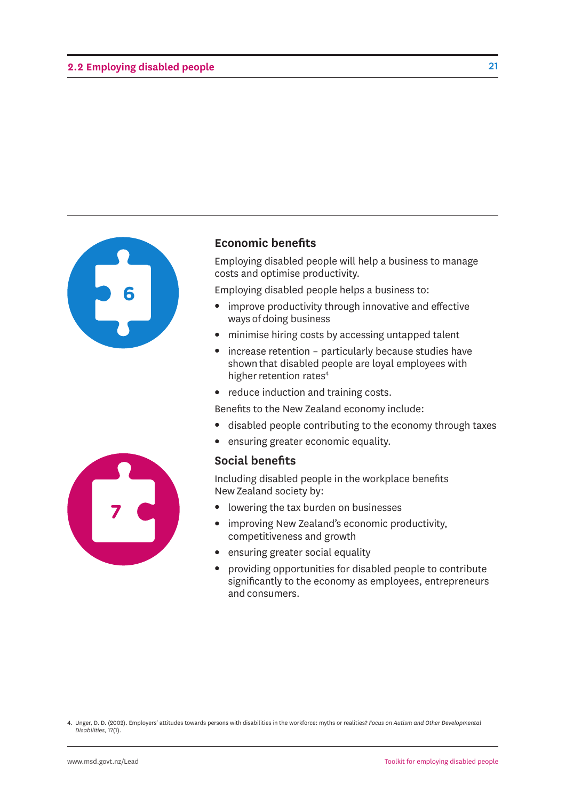

#### **Economic benefits**

Employing disabled people will help a business to manage costs and optimise productivity.

Employing disabled people helps a business to:

- improve productivity through innovative and effective ways of doing business
- minimise hiring costs by accessing untapped talent
- $\bullet$  increase retention particularly because studies have shown that disabled people are loyal employees with higher retention rates<sup>4</sup>
- reduce induction and training costs.

Benefits to the New Zealand economy include:

- disabled people contributing to the economy through taxes
- ensuring greater economic equality.

#### **Social benefits**

Including disabled people in the workplace benefits New Zealand society by:

- lowering the tax burden on businesses
- improving New Zealand's economic productivity, competitiveness and growth
- ensuring greater social equality
- providing opportunities for disabled people to contribute significantly to the economy as employees, entrepreneurs and consumers.



<sup>4.</sup> Unger, D. D. (2002). Employers' attitudes towards persons with disabilities in the workforce: myths or realities? *Focus on Autism and Other Developmental Disabilities,* 17(1).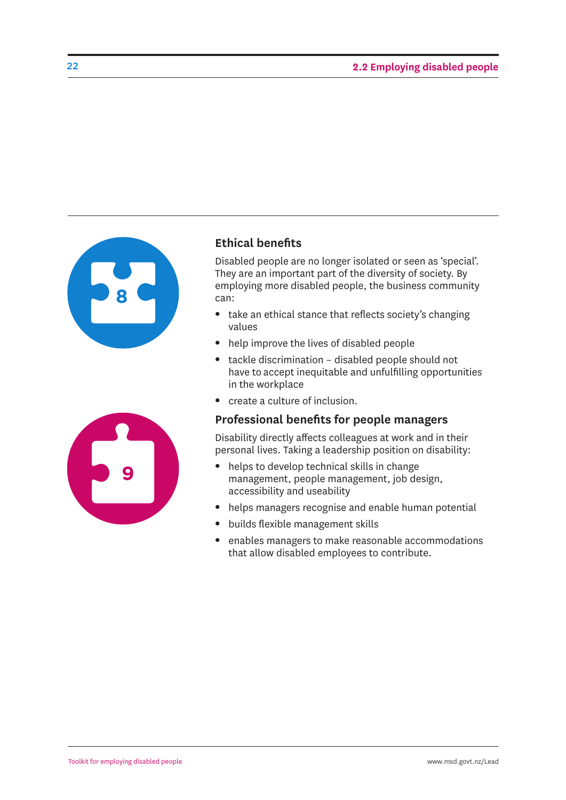

#### **Ethical benefits**

Disabled people are no longer isolated or seen as 'special'. They are an important part of the diversity of society. By employing more disabled people, the business community can:

- take an ethical stance that reflects society's changing values
- $\bullet$  help improve the lives of disabled people
- $\bullet$  tackle discrimination disabled people should not have to accept inequitable and unfulfilling opportunities in the workplace
- create a culture of inclusion.

#### **Professional benefits for people managers**

Disability directly affects colleagues at work and in their personal lives. Taking a leadership position on disability:

- helps to develop technical skills in change management, people management, job design, accessibility and useability
- helps managers recognise and enable human potential
- builds flexible management skills
- enables managers to make reasonable accommodations that allow disabled employees to contribute.

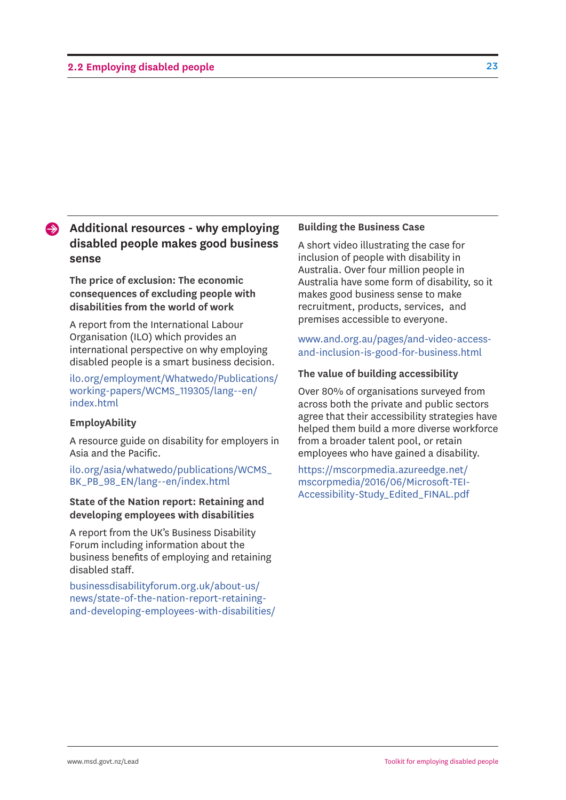### **Additional resources - why employing disabled people makes good business sense**

**The price of exclusion: The economic consequences of excluding people with disabilities from the world of work**

A report from the International Labour Organisation (ILO) which provides an international perspective on why employing disabled people is a smart business decision.

[ilo.org/employment/Whatwedo/Publications/](ilo.org/employment/Whatwedo/Publications/working-papers/WCMS_119305/lang--en/index.html) working-papers/WCMS\_119305/lang--en/ index.html

#### **EmployAbility**

A resource guide on disability for employers in Asia and the Pacific.

[ilo.org/asia/whatwedo/publications/WCMS\\_](ilo.org/asia/whatwedo/publications/WCMS_ BK_PB_98_EN/lang--en/index.html) BK\_PB\_98\_EN/lang--en/index.html

#### **State of the Nation report: Retaining and developing employees with disabilities**

A report from the UK's Business Disability Forum including information about the business benefits of employing and retaining disabled staff.

businessdisabilityforum.org.uk/about-us/ news/state-of-the-nation-report-retaining[and-developing-employees-with-disabilities/](businessdisabilityforum.org.uk/about-us/news/state-of-the-nation-report-retaining-and-developing-employees-with-disabilities/)

#### **Building the Business Case**

A short video illustrating the case for inclusion of people with disability in Australia. Over four million people in Australia have some form of disability, so it makes good business sense to make recruitment, products, services, and premises accessible to everyone.

www.and.org.au/pages/and-video-accessand-inclusion-is-good-for-business.html

#### **The value of building accessibility**

Over 80% of organisations surveyed from across both the private and public sectors agree that their accessibility strategies have helped them build a more diverse workforce from a broader talent pool, or retain employees who have gained a disability.

https://mscorpmedia.azureedge.net/ [mscorpmedia/2016/06/Microsoft-TEI-](https://mscorpmedia.azureedge.net/mscorpmedia/2016/06/Microsoft-TEI-Accessibility-Study_Edited_FINAL.pdf)Accessibility-Study\_Edited\_FINAL.pdf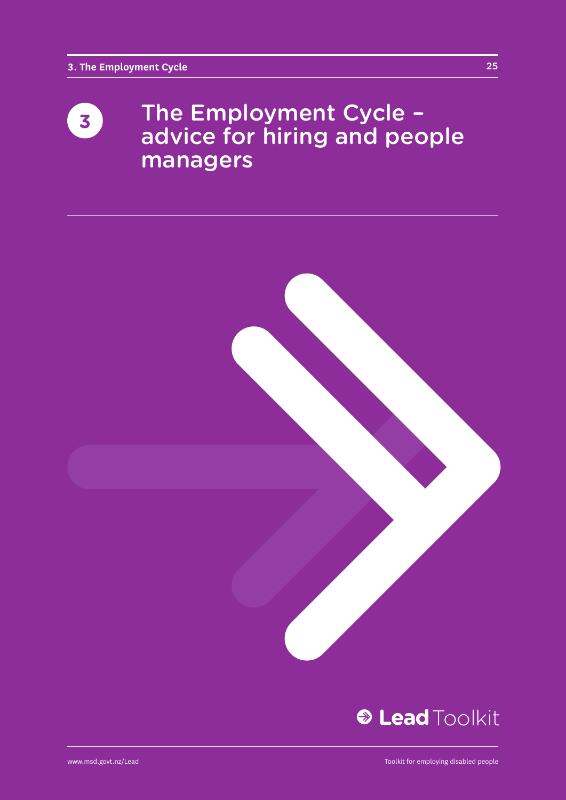### The Employment Cycle – advice for hiring and people managers **3**



25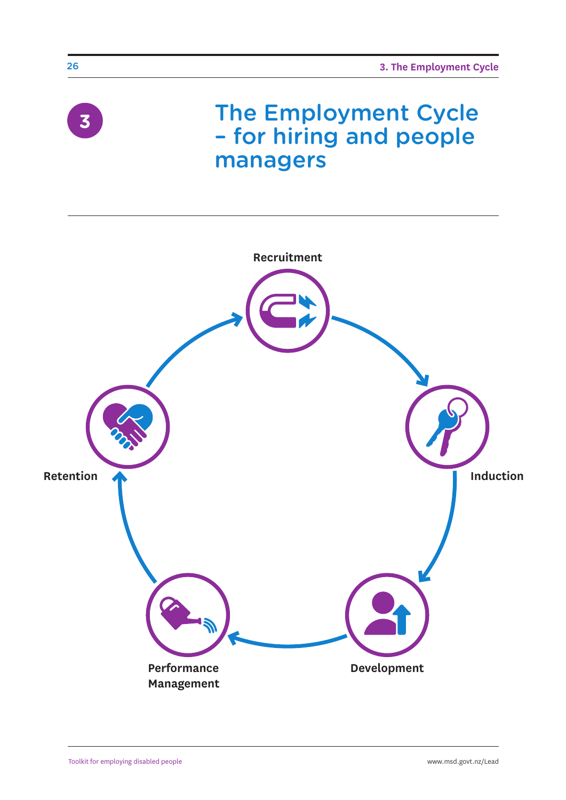

26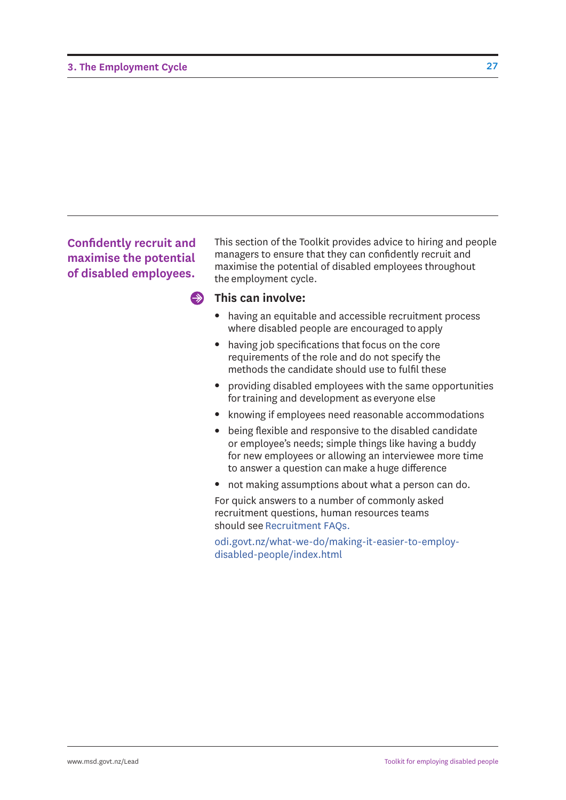#### **Confidently recruit and maximise the potential of disabled employees.**

This section of the Toolkit provides advice to hiring and people managers to ensure that they can confidently recruit and maximise the potential of disabled employees throughout the employment cycle.

#### $\clubsuit$ **This can involve:**

- having an equitable and accessible recruitment process where disabled people are encouraged to apply
- having job specifications that focus on the core requirements of the role and do not specify the methods the candidate should use to fulfil these
- providing disabled employees with the same opportunities for training and development as everyone else
- knowing if employees need reasonable accommodations
- being flexible and responsive to the disabled candidate or employee's needs; simple things like having a buddy for new employees or allowing an interviewee more time to answer a question can make a huge difference
- not making assumptions about what a person can do.

For quick answers to a number of commonly asked recruitment questions, human resources teams should see Recruitment FAQs.

[odi.govt.nz/what-we-do/making-it-easier-to-employ](odi.govt.nz/what-we-do/making-it-easier-to-employ-disabled-people/index.html)disabled-people/index.html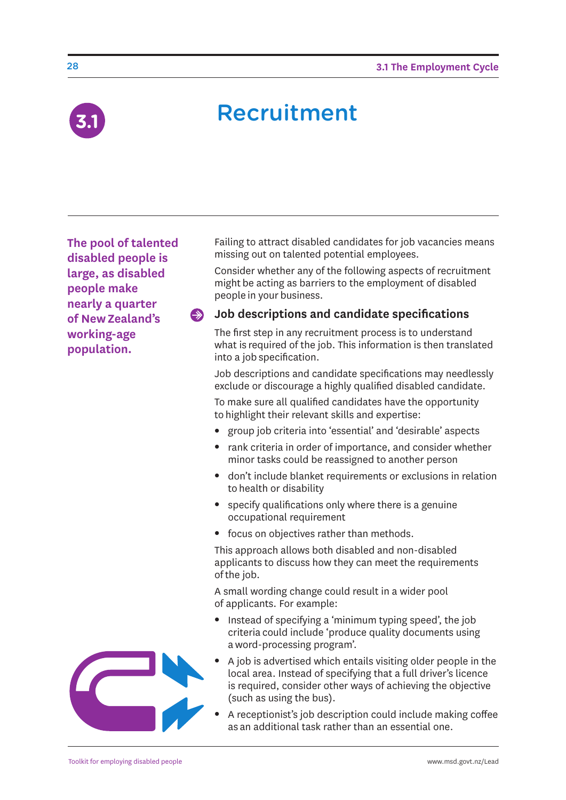

### **Recruitment**

**The pool of talented disabled people is large, as disabled people make nearly a quarter of New Zealand's working-age population.** 

Failing to attract disabled candidates for job vacancies means missing out on talented potential employees.

Consider whether any of the following aspects of recruitment might be acting as barriers to the employment of disabled people in your business.

#### **Job descriptions and candidate specifications**   $\Rightarrow$

The first step in any recruitment process is to understand what is required of the job. This information is then translated into a job specification.

Job descriptions and candidate specifications may needlessly exclude or discourage a highly qualified disabled candidate.

To make sure all qualified candidates have the opportunity to highlight their relevant skills and expertise:

- group job criteria into 'essential' and 'desirable' aspects
- rank criteria in order of importance, and consider whether minor tasks could be reassigned to another person
- don't include blanket requirements or exclusions in relation to health or disability
- $\bullet$  specify qualifications only where there is a genuine occupational requirement
- focus on objectives rather than methods.

This approach allows both disabled and non-disabled applicants to discuss how they can meet the requirements of the job.

A small wording change could result in a wider pool of applicants. For example:

- Instead of specifying a 'minimum typing speed', the job criteria could include 'produce quality documents using a word-processing program'.
- <sup>l</sup> A job is advertised which entails visiting older people in the local area. Instead of specifying that a full driver's licence is required, consider other ways of achieving the objective (such as using the bus).
- A receptionist's job description could include making coffee as an additional task rather than an essential one.

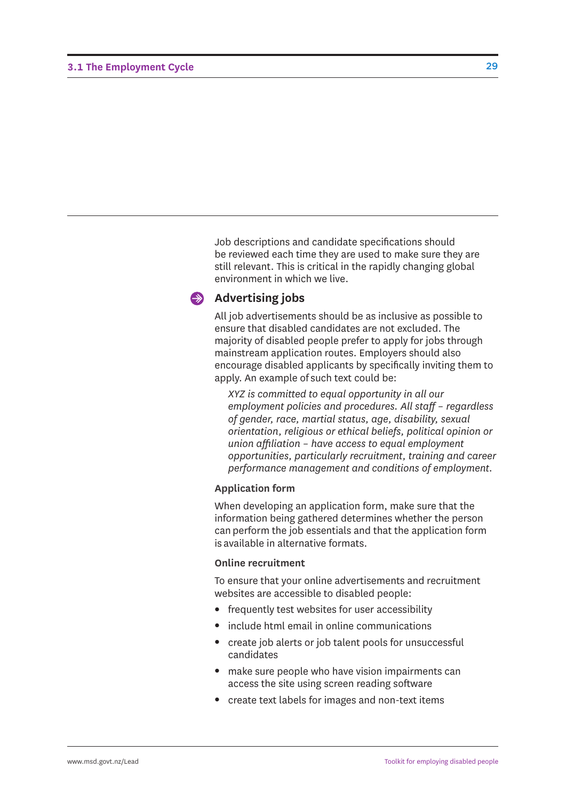Job descriptions and candidate specifications should be reviewed each time they are used to make sure they are still relevant. This is critical in the rapidly changing global environment in which we live.

#### **Advertising jobs**

All job advertisements should be as inclusive as possible to ensure that disabled candidates are not excluded. The majority of disabled people prefer to apply for jobs through mainstream application routes. Employers should also encourage disabled applicants by specifically inviting them to apply. An example of such text could be:

*XYZ is committed to equal opportunity in all our employment policies and procedures. All staff – regardless of gender, race, martial status, age, disability, sexual orientation, religious or ethical beliefs, political opinion or union affiliation – have access to equal employment opportunities, particularly recruitment, training and career performance management and conditions of employment.*

#### **Application form**

When developing an application form, make sure that the information being gathered determines whether the person can perform the job essentials and that the application form is available in alternative formats.

#### **Online recruitment**

To ensure that your online advertisements and recruitment websites are accessible to disabled people:

- $\bullet$  frequently test websites for user accessibility
- include html email in online communications
- create job alerts or job talent pools for unsuccessful candidates
- make sure people who have vision impairments can access the site using screen reading software
- create text labels for images and non-text items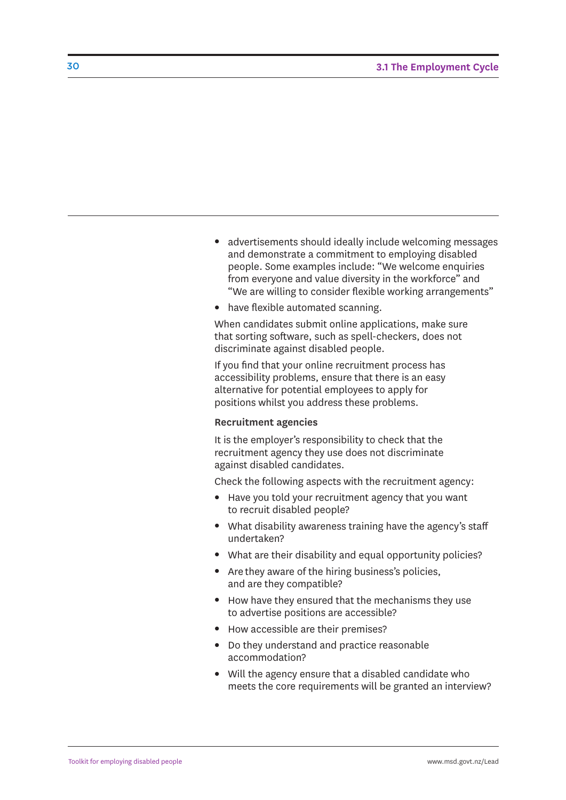- advertisements should ideally include welcoming messages and demonstrate a commitment to employing disabled people. Some examples include: "We welcome enquiries from everyone and value diversity in the workforce" and "We are willing to consider flexible working arrangements"
- have flexible automated scanning.

When candidates submit online applications, make sure that sorting software, such as spell-checkers, does not discriminate against disabled people.

If you find that your online recruitment process has accessibility problems, ensure that there is an easy alternative for potential employees to apply for positions whilst you address these problems.

#### **Recruitment agencies**

It is the employer's responsibility to check that the recruitment agency they use does not discriminate against disabled candidates.

Check the following aspects with the recruitment agency:

- Have you told your recruitment agency that you want to recruit disabled people?
- What disability awareness training have the agency's staff undertaken?
- What are their disability and equal opportunity policies?
- Are they aware of the hiring business's policies, and are they compatible?
- How have they ensured that the mechanisms they use to advertise positions are accessible?
- How accessible are their premises?
- Do they understand and practice reasonable accommodation?
- Will the agency ensure that a disabled candidate who meets the core requirements will be granted an interview?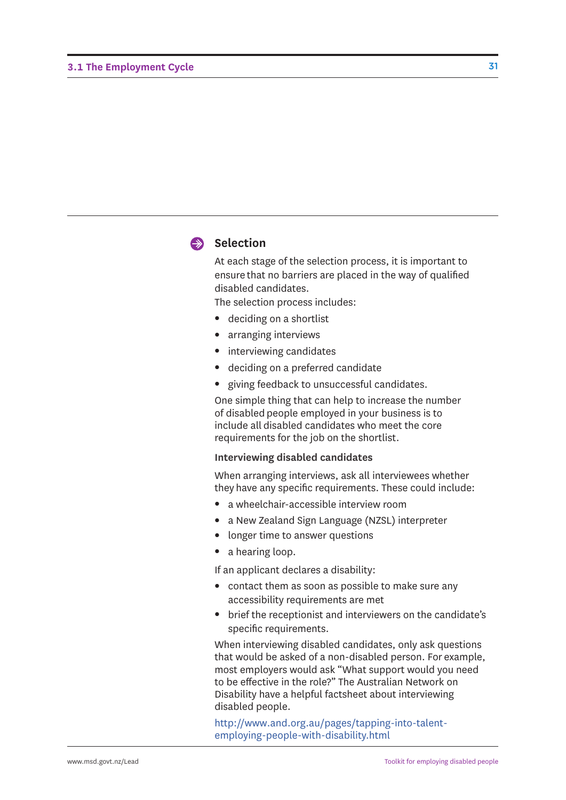

#### Selection

At each stage of the selection process, it is important to ensure that no barriers are placed in the way of qualified disabled candidates.

The selection process includes:

- deciding on a shortlist
- arranging interviews
- interviewing candidates
- deciding on a preferred candidate
- giving feedback to unsuccessful candidates.

One simple thing that can help to increase the number of disabled people employed in your business is to include all disabled candidates who meet the core requirements for the job on the shortlist.

#### **Interviewing disabled candidates**

When arranging interviews, ask all interviewees whether they have any specific requirements. These could include:

- a wheelchair-accessible interview room
- a New Zealand Sign Language (NZSL) interpreter
- longer time to answer questions
- $\bullet$  a hearing loop.

If an applicant declares a disability:

- contact them as soon as possible to make sure any accessibility requirements are met
- brief the receptionist and interviewers on the candidate's specific requirements.

When interviewing disabled candidates, only ask questions that would be asked of a non-disabled person. For example, most employers would ask "What support would you need to be effective in the role?" The Australian Network on Disability have a helpful factsheet about interviewing disabled people.

[http://www.and.org.au/pages/tapping-into-talent](http://www.and.org.au/pages/tapping-into-talent-employing-people-with-disability.html)employing-people-with-disability.html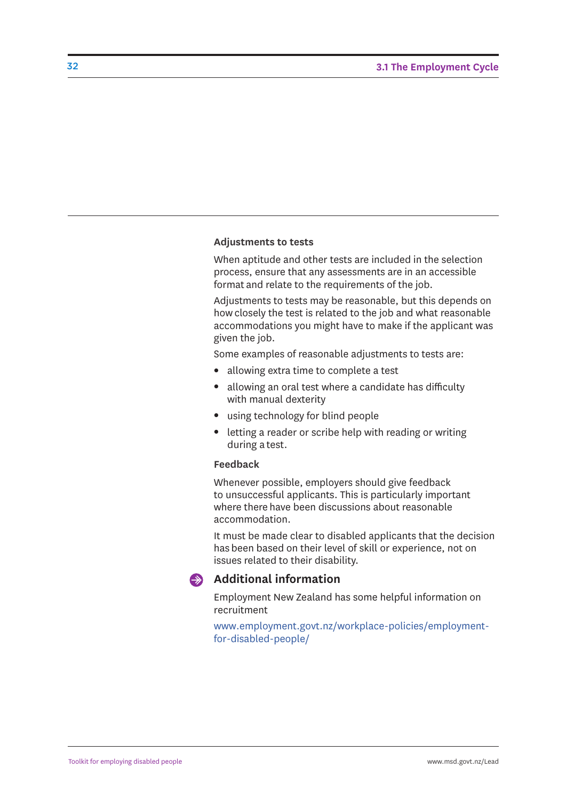#### **Adjustments to tests**

When aptitude and other tests are included in the selection process, ensure that any assessments are in an accessible format and relate to the requirements of the job.

Adjustments to tests may be reasonable, but this depends on how closely the test is related to the job and what reasonable accommodations you might have to make if the applicant was given the job.

Some examples of reasonable adjustments to tests are:

- allowing extra time to complete a test
- allowing an oral test where a candidate has difficulty with manual dexterity
- using technology for blind people
- letting a reader or scribe help with reading or writing during a test.

#### **Feedback**

Whenever possible, employers should give feedback to unsuccessful applicants. This is particularly important where there have been discussions about reasonable accommodation.

It must be made clear to disabled applicants that the decision has been based on their level of skill or experience, not on issues related to their disability.



#### **Additional information**

Employment New Zealand has some helpful information on recruitment

[www.employment.govt.nz/workplace-policies/employment](www.employment.govt.nz/workplace-policies/employment-for-disabled-people/)for-disabled-people/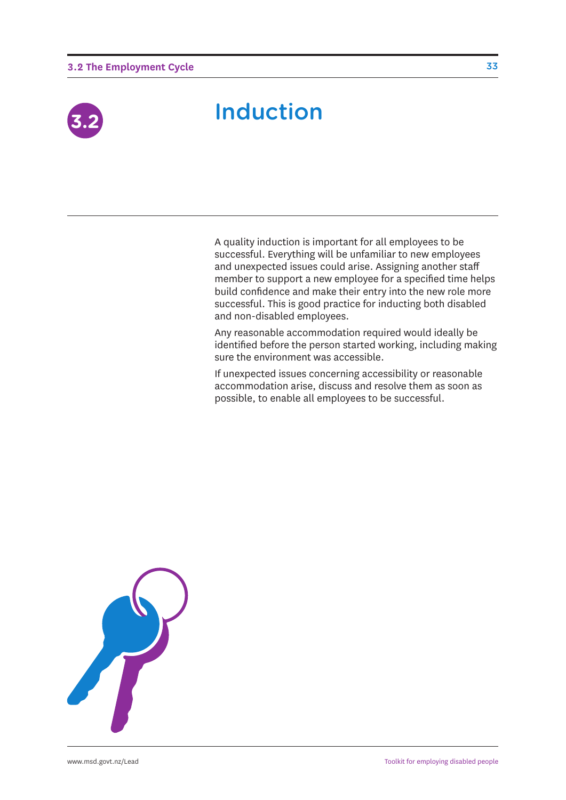#### **3.2 The Employment Cycle**



### Induction **3.2**

A quality induction is important for all employees to be successful. Everything will be unfamiliar to new employees and unexpected issues could arise. Assigning another staff member to support a new employee for a specified time helps build confidence and make their entry into the new role more successful. This is good practice for inducting both disabled and non-disabled employees.

Any reasonable accommodation required would ideally be identified before the person started working, including making sure the environment was accessible.

If unexpected issues concerning accessibility or reasonable accommodation arise, discuss and resolve them as soon as possible, to enable all employees to be successful.

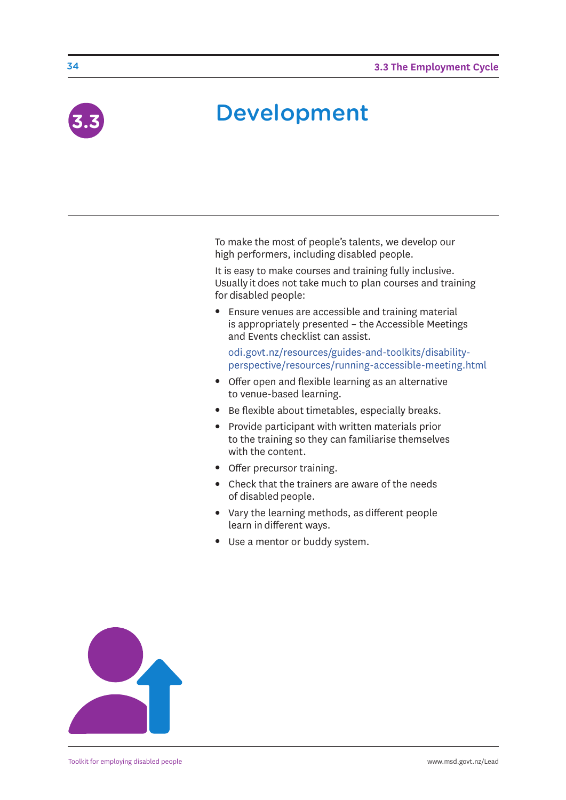

# **Development**

To make the most of people's talents, we develop our high performers, including disabled people.

It is easy to make courses and training fully inclusive. Usually it does not take much to plan courses and training for disabled people:

• Ensure venues are accessible and training material is appropriately presented – the Accessible Meetings and Events checklist can assist.

odi.govt.nz/resources/guides-and-toolkits/disability[perspective/resources/running-accessible-meeting.html](odi.govt.nz/resources/guides-and-toolkits/disability-perspective/resources/running-accessible-meeting.html)

- Offer open and flexible learning as an alternative to venue-based learning.
- Be flexible about timetables, especially breaks.
- Provide participant with written materials prior to the training so they can familiarise themselves with the content.
- Offer precursor training.
- Check that the trainers are aware of the needs of disabled people.
- Vary the learning methods, as different people learn in different ways.
- Use a mentor or buddy system.

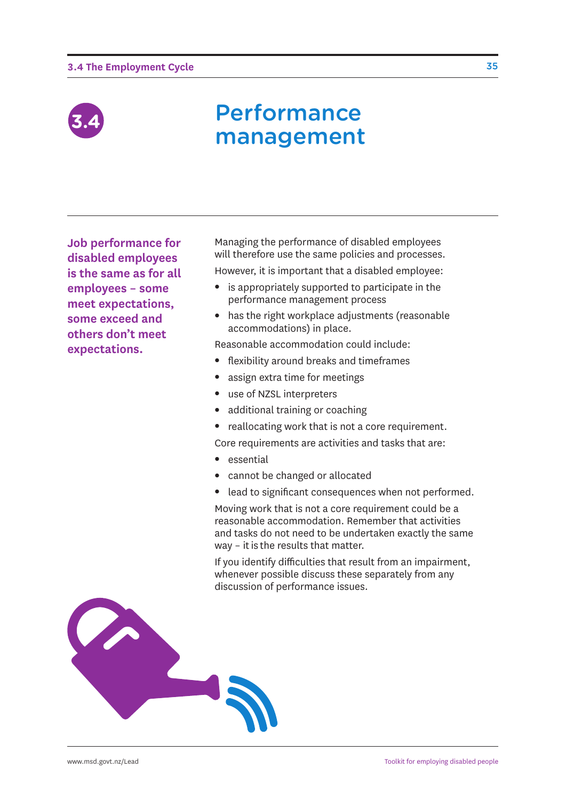#### **3.4 The Employment Cycle**



### Performance management

**Job performance for disabled employees is the same as for all employees – some meet expectations, some exceed and others don't meet expectations.**

Managing the performance of disabled employees will therefore use the same policies and processes.

However, it is important that a disabled employee:

- $\bullet$  is appropriately supported to participate in the performance management process
- has the right workplace adjustments (reasonable accommodations) in place.

Reasonable accommodation could include:

- flexibility around breaks and timeframes
- assign extra time for meetings
- use of NZSL interpreters
- additional training or coaching
- reallocating work that is not a core requirement.

Core requirements are activities and tasks that are:

- essential
- cannot be changed or allocated
- lead to significant consequences when not performed.

Moving work that is not a core requirement could be a reasonable accommodation. Remember that activities and tasks do not need to be undertaken exactly the same way – it is the results that matter.

If you identify difficulties that result from an impairment, whenever possible discuss these separately from any discussion of performance issues.

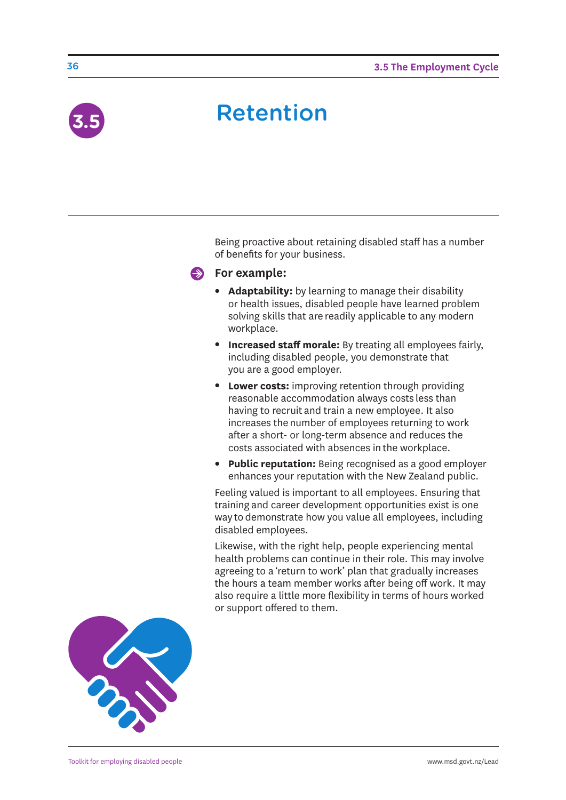

# **Retention**

Being proactive about retaining disabled staff has a number of benefits for your business.

#### **For example:**

- **Adaptability:** by learning to manage their disability or health issues, disabled people have learned problem solving skills that are readily applicable to any modern workplace.
- **Increased staff morale:** By treating all employees fairly, including disabled people, you demonstrate that you are a good employer.
- **Lower costs:** improving retention through providing reasonable accommodation always costs less than having to recruit and train a new employee. It also increases the number of employees returning to work after a short- or long-term absence and reduces the costs associated with absences in the workplace.
- **Public reputation:** Being recognised as a good employer enhances your reputation with the New Zealand public.

Feeling valued is important to all employees. Ensuring that training and career development opportunities exist is one way to demonstrate how you value all employees, including disabled employees.

Likewise, with the right help, people experiencing mental health problems can continue in their role. This may involve agreeing to a 'return to work' plan that gradually increases the hours a team member works after being off work. It may also require a little more flexibility in terms of hours worked or support offered to them.

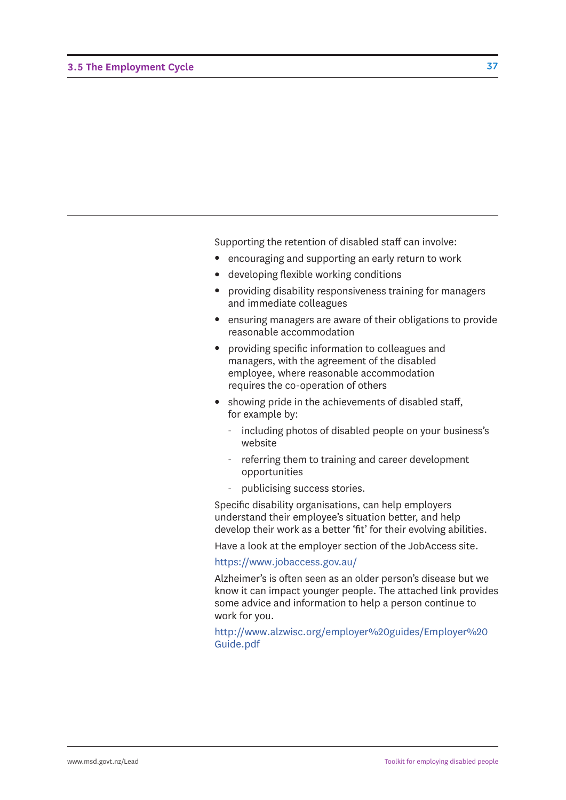Supporting the retention of disabled staff can involve:

- encouraging and supporting an early return to work
- developing flexible working conditions
- providing disability responsiveness training for managers and immediate colleagues
- ensuring managers are aware of their obligations to provide reasonable accommodation
- providing specific information to colleagues and managers, with the agreement of the disabled employee, where reasonable accommodation requires the co-operation of others
- showing pride in the achievements of disabled staff, for example by:
	- including photos of disabled people on your business's website
	- referring them to training and career development opportunities
	- publicising success stories.

Specific disability organisations, can help employers understand their employee's situation better, and help develop their work as a better 'fit' for their evolving abilities.

Have a look at the employer section of the JobAccess site.

#### <https://www.jobaccess.gov.au/>

Alzheimer's is often seen as an older person's disease but we know it can impact younger people. The attached link provides some advice and information to help a person continue to work for you.

[http://www.alzwisc.org/employer%20guides/Employer%20](http://www.alzwisc.org/employer%20guides/Employer%20 Guide.pdf) Guide.pdf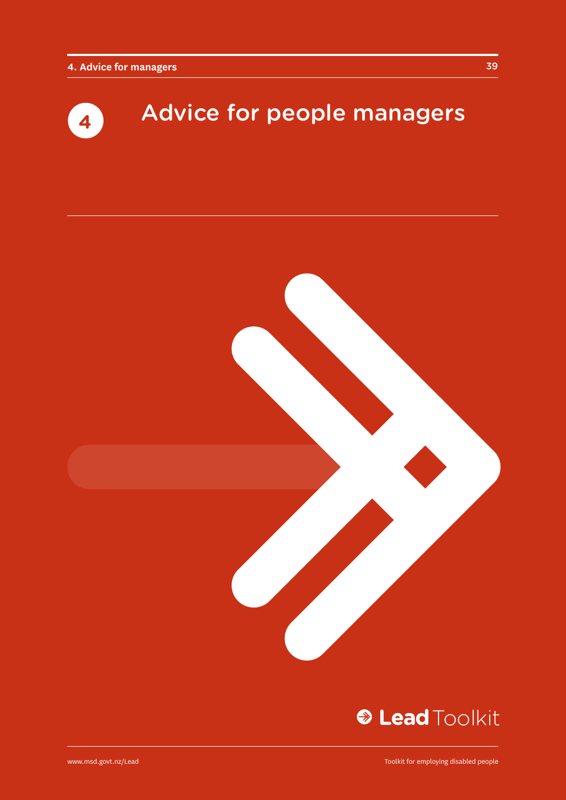# Advice for people managers **<sup>4</sup>**



### **& Lead Toolkit**

www.msd.govt.nz/Lead

Toolkit for employing disabled people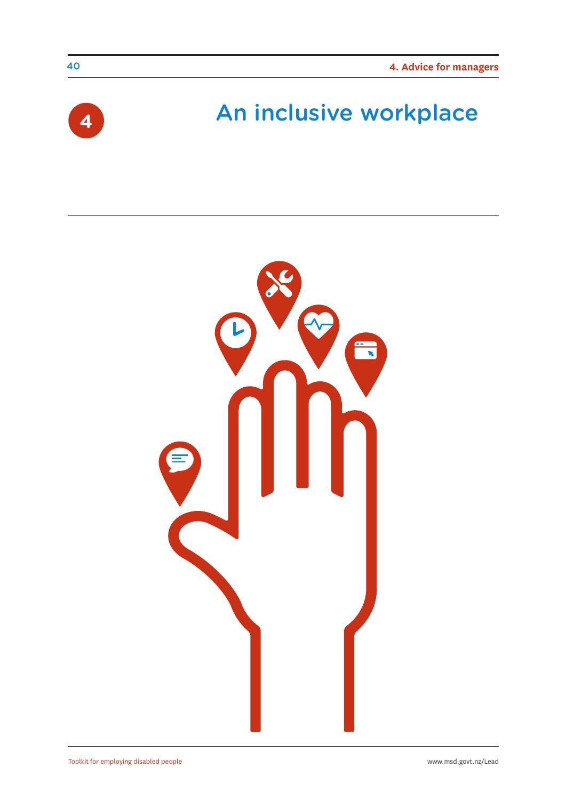

### An inclusive workplace **<sup>4</sup>**

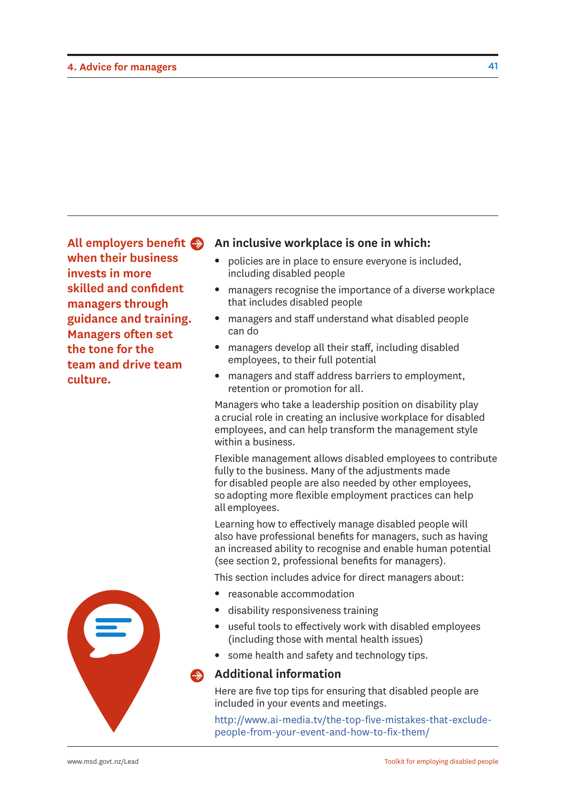**All employers benefit when their business invests in more skilled and confident managers through guidance and training. Managers often set the tone for the team and drive team culture.**

#### **An inclusive workplace is one in which:**

- policies are in place to ensure everyone is included, including disabled people
- managers recognise the importance of a diverse workplace that includes disabled people
- managers and staff understand what disabled people can do
- managers develop all their staff, including disabled employees, to their full potential
- managers and staff address barriers to employment, retention or promotion for all.

Managers who take a leadership position on disability play a crucial role in creating an inclusive workplace for disabled employees, and can help transform the management style within a business.

Flexible management allows disabled employees to contribute fully to the business. Many of the adjustments made for disabled people are also needed by other employees, so adopting more flexible employment practices can help all employees.

Learning how to effectively manage disabled people will also have professional benefits for managers, such as having an increased ability to recognise and enable human potential (see section 2, professional benefits for managers).

This section includes advice for direct managers about:

- reasonable accommodation
- disability responsiveness training
- useful tools to effectively work with disabled employees (including those with mental health issues)
- some health and safety and technology tips.

#### **Additional information**

Here are five top tips for ensuring that disabled people are included in your events and meetings.

[http://www.ai-media.tv/the-top-five-mistakes-that-exclude](http://www.ai-media.tv/the-top-five-mistakes-that-exclude-people-from-your-event-and-how-to-fix-them/)people-from-your-event-and-how-to-fix-them/

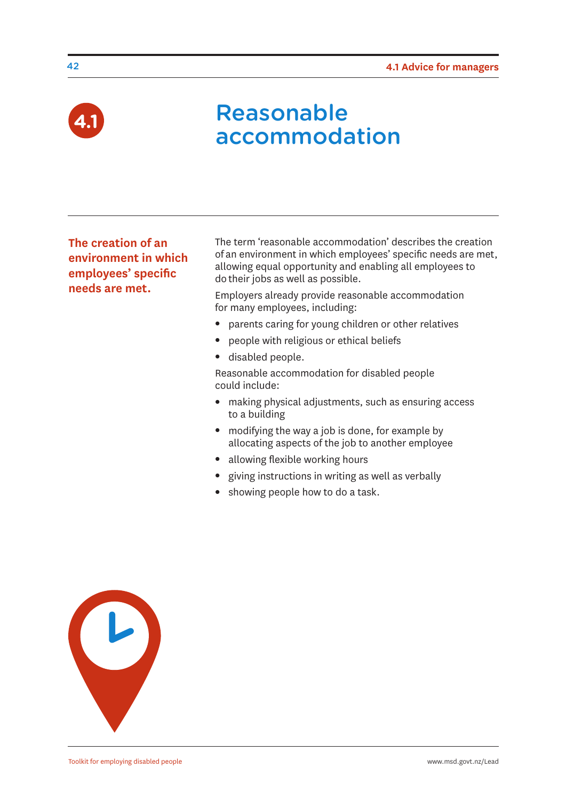

### Reasonable **accommodation**

**The creation of an environment in which employees' specific needs are met.**

The term 'reasonable accommodation' describes the creation of an environment in which employees' specific needs are met, allowing equal opportunity and enabling all employees to do their jobs as well as possible.

Employers already provide reasonable accommodation for many employees, including:

- parents caring for young children or other relatives
- people with religious or ethical beliefs
- disabled people.

Reasonable accommodation for disabled people could include:

- making physical adjustments, such as ensuring access to a building
- $\bullet$  modifying the way a job is done, for example by allocating aspects of the job to another employee
- allowing flexible working hours
- giving instructions in writing as well as verbally
- showing people how to do a task.



42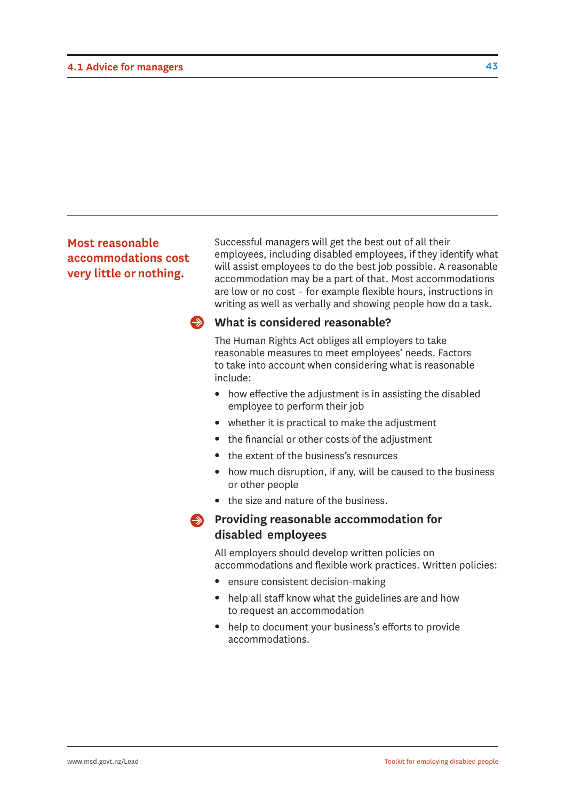#### **Most reasonable accommodations cost very little or nothing.**

Successful managers will get the best out of all their employees, including disabled employees, if they identify what will assist employees to do the best job possible. A reasonable accommodation may be a part of that. Most accommodations are low or no cost – for example flexible hours, instructions in writing as well as verbally and showing people how do a task.

#### **What is considered reasonable?**

The Human Rights Act obliges all employers to take reasonable measures to meet employees' needs. Factors to take into account when considering what is reasonable include:

- $\bullet$  how effective the adjustment is in assisting the disabled employee to perform their job
- $\bullet$  whether it is practical to make the adjustment
- the financial or other costs of the adjustment
- <sup>l</sup> the extent of the business's resources
- how much disruption, if any, will be caused to the business or other people
- the size and nature of the business.
- **Providing reasonable accommodation for disabled employees**

All employers should develop written policies on accommodations and flexible work practices. Written policies:

- ensure consistent decision-making
- $\bullet$  help all staff know what the guidelines are and how to request an accommodation
- help to document your business's efforts to provide accommodations.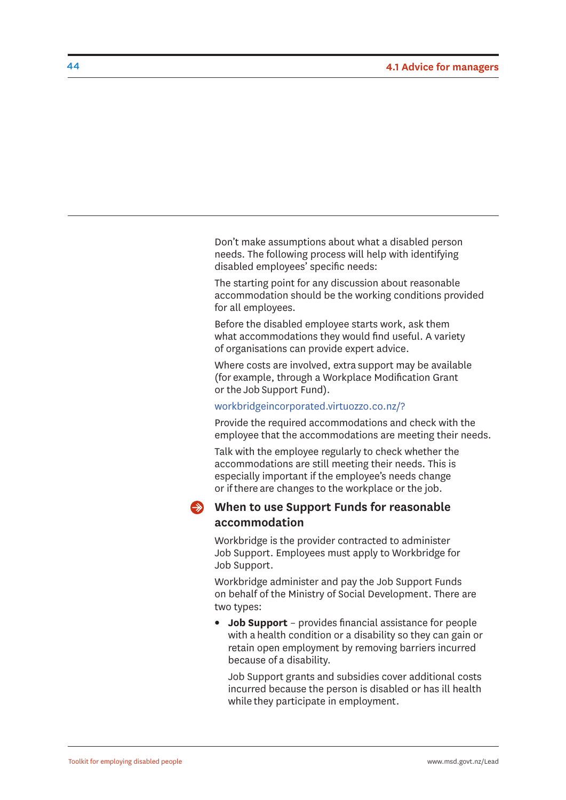Don't make assumptions about what a disabled person needs. The following process will help with identifying disabled employees' specific needs:

The starting point for any discussion about reasonable accommodation should be the working conditions provided for all employees.

Before the disabled employee starts work, ask them what accommodations they would find useful. A variety of organisations can provide expert advice.

Where costs are involved, extra support may be available (for example, through a Workplace Modification Grant or the Job Support Fund).

#### <workbridgeincorporated.virtuozzo.co.nz/?>

Provide the required accommodations and check with the employee that the accommodations are meeting their needs.

Talk with the employee regularly to check whether the accommodations are still meeting their needs. This is especially important if the employee's needs change or if there are changes to the workplace or the job.

#### **When to use Support Funds for reasonable accommodation**

Workbridge is the provider contracted to administer Job Support. Employees must apply to Workbridge for Job Support.

Workbridge administer and pay the Job Support Funds on behalf of the Ministry of Social Development. There are two types:

• **Job Support** – provides financial assistance for people with a health condition or a disability so they can gain or retain open employment by removing barriers incurred because of a disability.

Job Support grants and subsidies cover additional costs incurred because the person is disabled or has ill health while they participate in employment.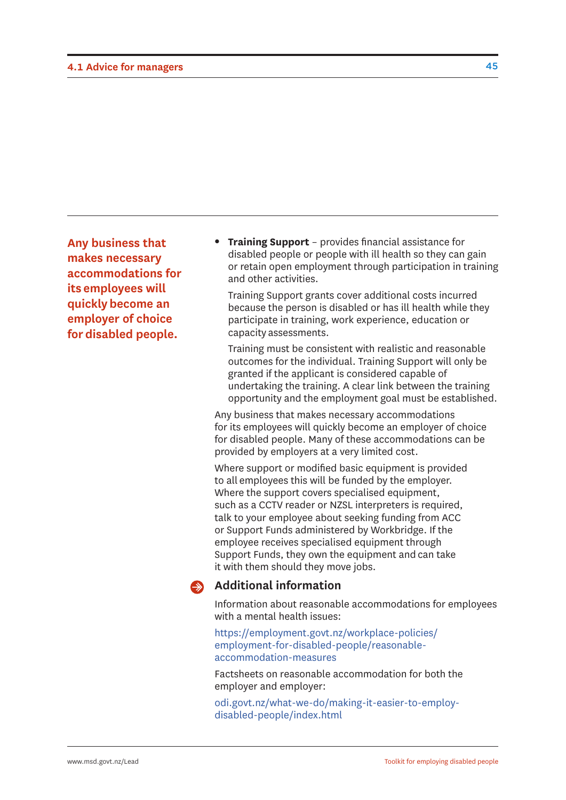**Any business that makes necessary accommodations for its employees will quickly become an employer of choice for disabled people.**

**• Training Support** – provides financial assistance for disabled people or people with ill health so they can gain or retain open employment through participation in training and other activities.

Training Support grants cover additional costs incurred because the person is disabled or has ill health while they participate in training, work experience, education or capacity assessments.

Training must be consistent with realistic and reasonable outcomes for the individual. Training Support will only be granted if the applicant is considered capable of undertaking the training. A clear link between the training opportunity and the employment goal must be established.

Any business that makes necessary accommodations for its employees will quickly become an employer of choice for disabled people. Many of these accommodations can be provided by employers at a very limited cost.

Where support or modified basic equipment is provided to all employees this will be funded by the employer. Where the support covers specialised equipment, such as a CCTV reader or NZSL interpreters is required, talk to your employee about seeking funding from ACC or Support Funds administered by Workbridge. If the employee receives specialised equipment through Support Funds, they own the equipment and can take it with them should they move jobs.

#### $\clubsuit$ **Additional information**

Information about reasonable accommodations for employees with a mental health issues:

[https://employment.govt.nz/workplace-policies/](https://employment.govt.nz/workplace-policies/employment-for-disabled-people/reasonable-accommodation-measures) employment-for-disabled-people/reasonableaccommodation-measures

Factsheets on reasonable accommodation for both the employer and employer:

[odi.govt.nz/what-we-do/making-it-easier-to-employ](odi.govt.nz/what-we-do/making-it-easier-to-employ-disabled-people/index.html)disabled-people/index.html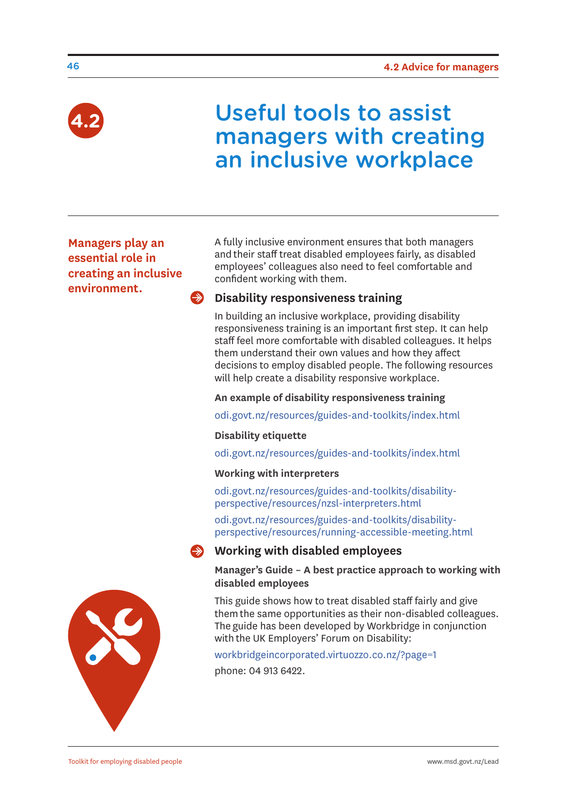

### Useful tools to assist managers with creating an inclusive workplace

**Managers play an essential role in creating an inclusive environment.** 

A fully inclusive environment ensures that both managers and their staff treat disabled employees fairly, as disabled employees' colleagues also need to feel comfortable and confident working with them.

### $\rightarrow$  Disability responsiveness training

In building an inclusive workplace, providing disability responsiveness training is an important first step. It can help staff feel more comfortable with disabled colleagues. It helps them understand their own values and how they affect decisions to employ disabled people. The following resources will help create a disability responsive workplace.

**An example of disability responsiveness training**

<odi.govt.nz/resources/guides-and-toolkits/index.html>

#### **Disability etiquette**

<odi.govt.nz/resources/guides-and-toolkits/index.html>

#### **Working with interpreters**

[odi.govt.nz/resources/guides-and-toolkits/disability](odi.govt.nz/resources/guides-and-toolkits/disability-perspective/resources/nzsl-interpreters.html)perspective/resources/nzsl-interpreters.html

odi.govt.nz/resources/guides-and-toolkits/disability[perspective/resources/running-accessible-meeting.html](odi.govt.nz/resources/guides-and-toolkits/disability-perspective/resources/running-accessible-meeting.html)

#### **Working with disabled employees**

**Manager's Guide – A best practice approach to working with disabled employees**

This guide shows how to treat disabled staff fairly and give them the same opportunities as their non-disabled colleagues. The guide has been developed by Workbridge in conjunction with the UK Employers' Forum on Disability:

<workbridgeincorporated.virtuozzo.co.nz/?page=1> phone: 04 913 6422.

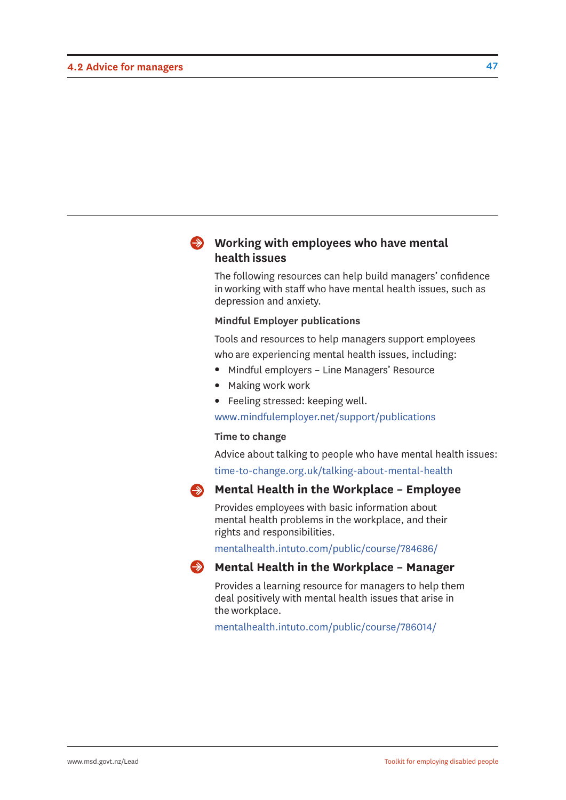#### **Working with employees who have mental health issues**

The following resources can help build managers' confidence in working with staff who have mental health issues, such as depression and anxiety.

#### **Mindful Employer publications**

Tools and resources to help managers support employees who are experiencing mental health issues, including:

- Mindful employers Line Managers' Resource
- Making work work
- Feeling stressed: keeping well.

<www.mindfulemployer.net/support/publications>

#### **Time to change**

Advice about talking to people who have mental health issues: <time-to-change.org.uk/talking-about-mental-health>

#### **Mental Health in the Workplace - Employee**

Provides employees with basic information about mental health problems in the workplace, and their rights and responsibilities.

<mentalhealth.intuto.com/public/course/784686/>



#### **Mental Health in the Workplace - Manager**

Provides a learning resource for managers to help them deal positively with mental health issues that arise in the workplace.

<mentalhealth.intuto.com/public/course/786014/>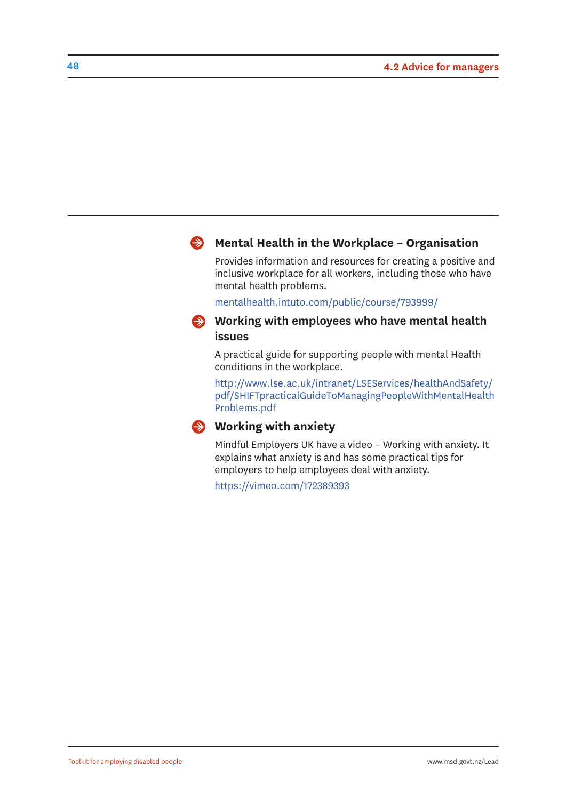#### **Mental Health in the Workplace – Organisation**

Provides information and resources for creating a positive and inclusive workplace for all workers, including those who have mental health problems.

<mentalhealth.intuto.com/public/course/793999/>

#### **Working with employees who have mental health issues**

A practical guide for supporting people with mental Health conditions in the workplace.

http://www.lse.ac.uk/intranet/LSEServices/healthAndSafety/ [pdf/SHIFTpracticalGuideToManagingPeopleWithMentalHealth](http://www.lse.ac.uk/intranet/LSEServices/healthAndSafety/pdf/SHIFTpracticalGuideToManagingPeopleWithMentalHealth Problems.pdf) Problems.pdf



#### **Working with anxiety**

Mindful Employers UK have a video – Working with anxiety. It explains what anxiety is and has some practical tips for employers to help employees deal with anxiety.

<https://vimeo.com/172389393>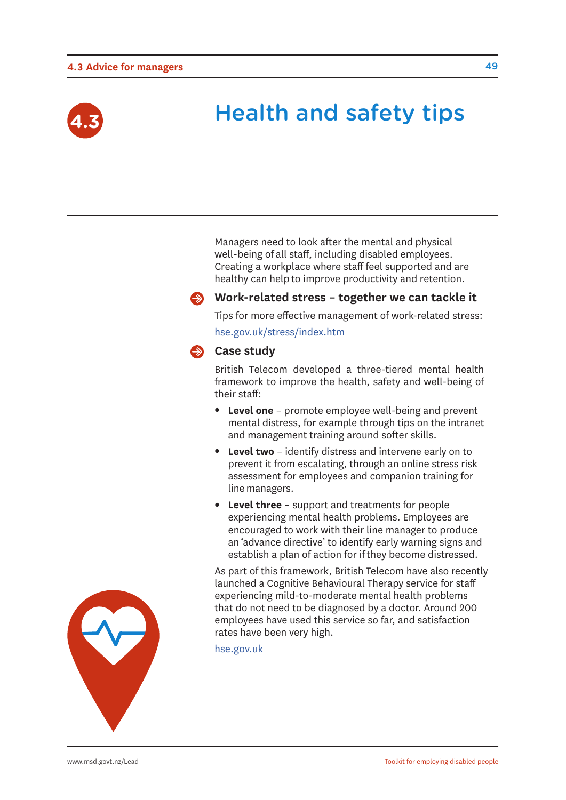#### **4.3 Advice for managers**



### **Health and safety tips**

Managers need to look after the mental and physical well-being of all staff, including disabled employees. Creating a workplace where staff feel supported and are healthy can help to improve productivity and retention.



#### **Work-related stress – together we can tackle it**

Tips for more effective management of work-related stress: <hse.gov.uk/stress/index.htm>

#### **Case study**

British Telecom developed a three-tiered mental health framework to improve the health, safety and well-being of their staff:

- **Level one** promote employee well-being and prevent mental distress, for example through tips on the intranet and management training around softer skills.
- **Level two** identify distress and intervene early on to prevent it from escalating, through an online stress risk assessment for employees and companion training for line managers.
- **Level three** support and treatments for people experiencing mental health problems. Employees are encouraged to work with their line manager to produce an 'advance directive' to identify early warning signs and establish a plan of action for if they become distressed.

As part of this framework, British Telecom have also recently launched a Cognitive Behavioural Therapy service for staff experiencing mild-to-moderate mental health problems that do not need to be diagnosed by a doctor. Around 200 employees have used this service so far, and satisfaction rates have been very high.

<hse.gov.uk>

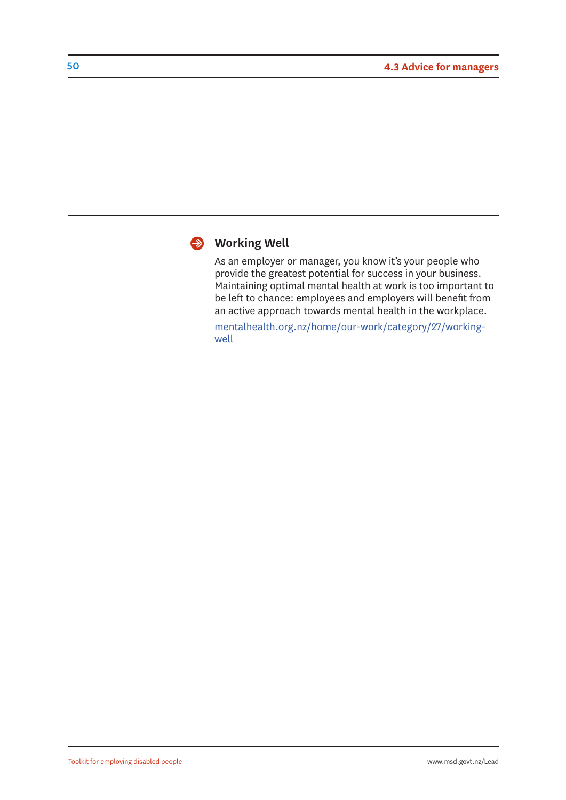

#### **Working Well**

As an employer or manager, you know it's your people who provide the greatest potential for success in your business. Maintaining optimal mental health at work is too important to be left to chance: employees and employers will benefit from an active approach towards mental health in the workplace.

[mentalhealth.org.nz/home/our-work/category/27/working](mentalhealth.org.nz/home/our-work/category/27/working-well)well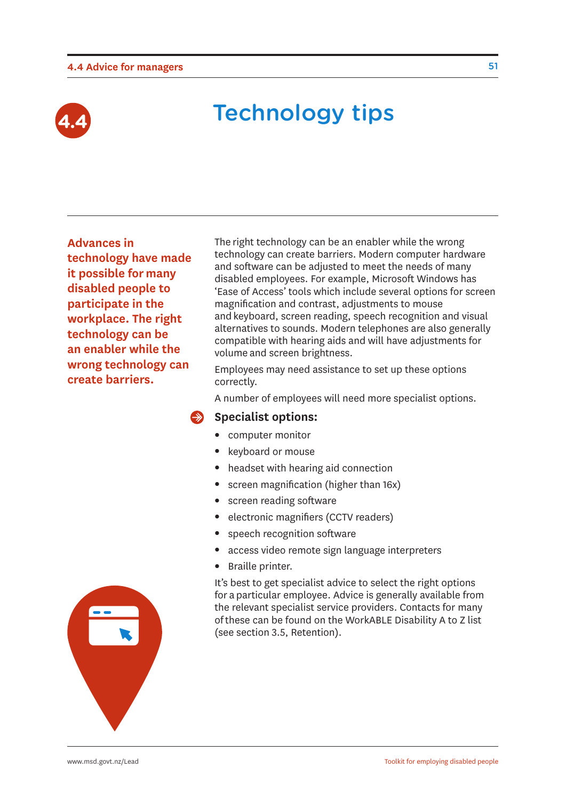#### **4.4 Advice for managers**



### **Technology tips**

**Advances in technology have made it possible for many disabled people to participate in the workplace. The right technology can be an enabler while the wrong technology can create barriers.**

The right technology can be an enabler while the wrong technology can create barriers. Modern computer hardware and software can be adjusted to meet the needs of many disabled employees. For example, Microsoft Windows has 'Ease of Access' tools which include several options for screen magnification and contrast, adjustments to mouse and keyboard, screen reading, speech recognition and visual alternatives to sounds. Modern telephones are also generally compatible with hearing aids and will have adjustments for volume and screen brightness.

Employees may need assistance to set up these options correctly.

A number of employees will need more specialist options.

#### **Specialist options:**

- computer monitor
- keyboard or mouse
- headset with hearing aid connection
- $\bullet$  screen magnification (higher than 16x)
- screen reading software
- electronic magnifiers (CCTV readers)
- speech recognition software
- access video remote sign language interpreters
- Braille printer.

It's best to get specialist advice to select the right options for a particular employee. Advice is generally available from the relevant specialist service providers. Contacts for many of these can be found on the WorkABLE Disability A to Z list (see section 3.5, Retention).

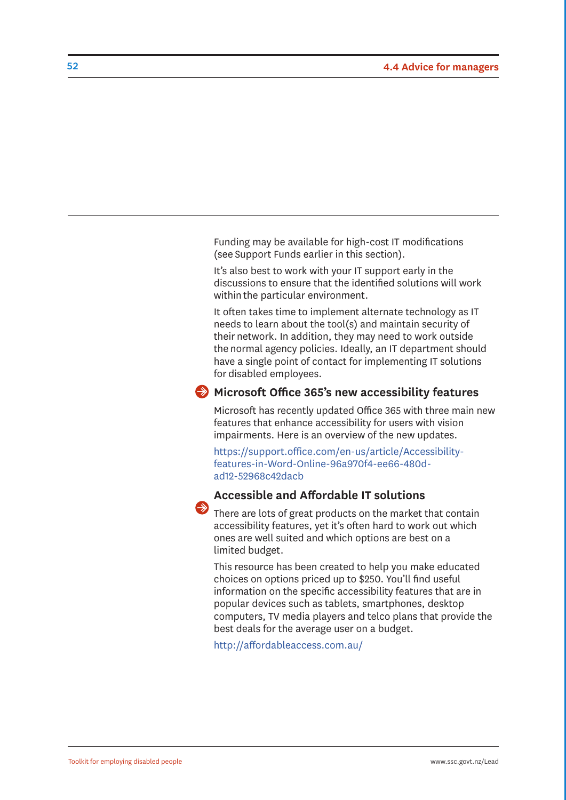Funding may be available for high-cost IT modifications (see Support Funds earlier in this section).

It's also best to work with your IT support early in the discussions to ensure that the identified solutions will work within the particular environment.

It often takes time to implement alternate technology as IT needs to learn about the tool(s) and maintain security of their network. In addition, they may need to work outside the normal agency policies. Ideally, an IT department should have a single point of contact for implementing IT solutions for disabled employees.

#### **Microsoft Office 365's new accessibility features**

Microsoft has recently updated Office 365 with three main new features that enhance accessibility for users with vision impairments. Here is an overview of the new updates.

[https://support.office.com/en-us/article/Accessibility](https://support.office.com/en-us/article/Accessibility-features-in-Word-Online-96a970f4-ee66-480d-ad12-52968c42dacb)features-in-Word-Online-96a970f4-ee66-480dad12-52968c42dacb

#### **Accessible and Affordable IT solutions**

There are lots of great products on the market that contain accessibility features, yet it's often hard to work out which ones are well suited and which options are best on a limited budget.

This resource has been created to help you make educated choices on options priced up to \$250. You'll find useful information on the specific accessibility features that are in popular devices such as tablets, smartphones, desktop computers, TV media players and telco plans that provide the best deals for the average user on a budget.

<http://affordableaccess.com.au/>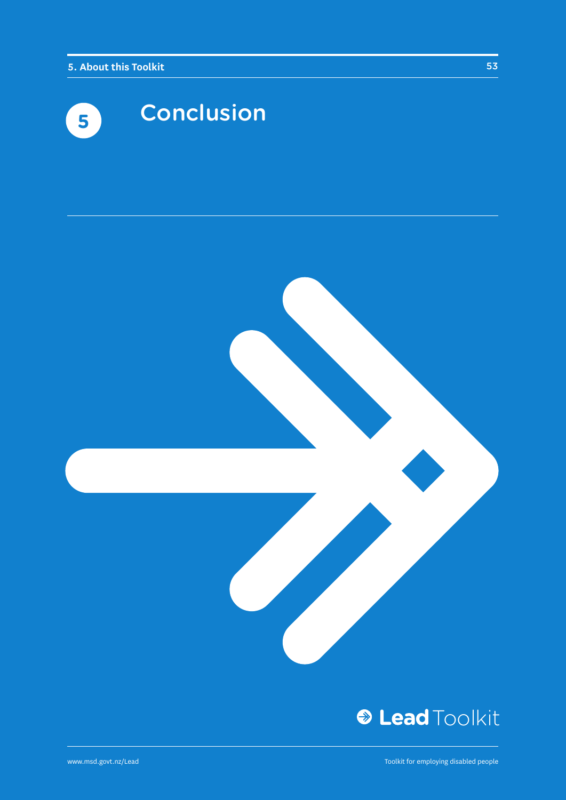



### **& Lead Toolkit**

www.msd.govt.nz/Lead

Toolkit for employing disabled people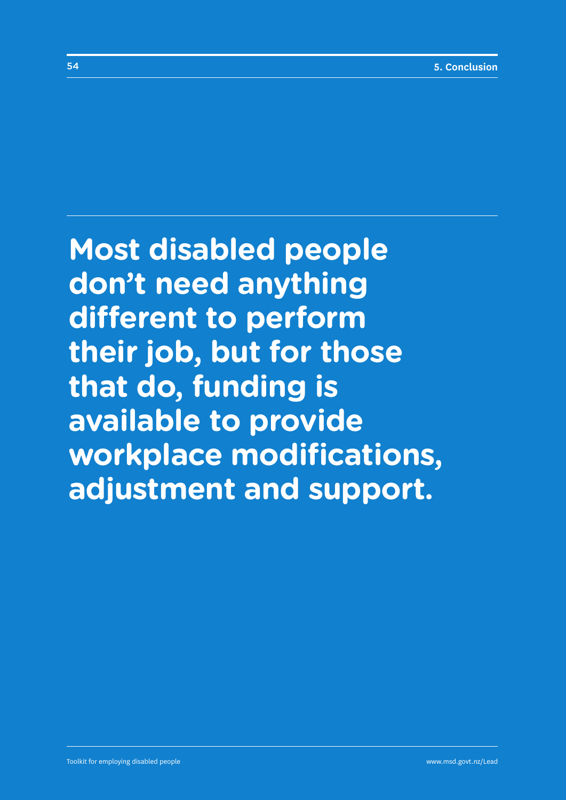**Most disabled people don't need anything different to perform their job, but for those that do, funding is available to provide workplace modifications, adjustment and support.**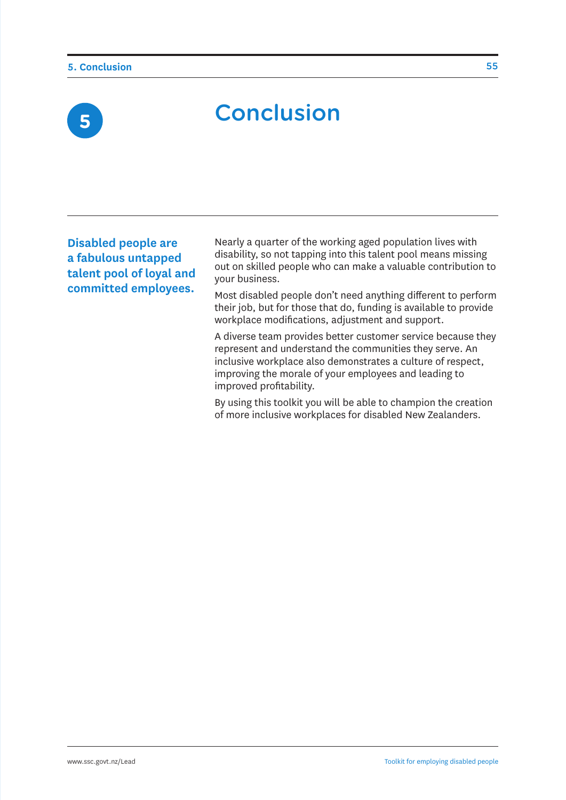**5**

# **Conclusion**

**Disabled people are a fabulous untapped talent pool of loyal and committed employees.** 

Nearly a quarter of the working aged population lives with disability, so not tapping into this talent pool means missing out on skilled people who can make a valuable contribution to your business.

Most disabled people don't need anything different to perform their job, but for those that do, funding is available to provide workplace modifications, adjustment and support.

A diverse team provides better customer service because they represent and understand the communities they serve. An inclusive workplace also demonstrates a culture of respect, improving the morale of your employees and leading to improved profitability.

By using this toolkit you will be able to champion the creation of more inclusive workplaces for disabled New Zealanders.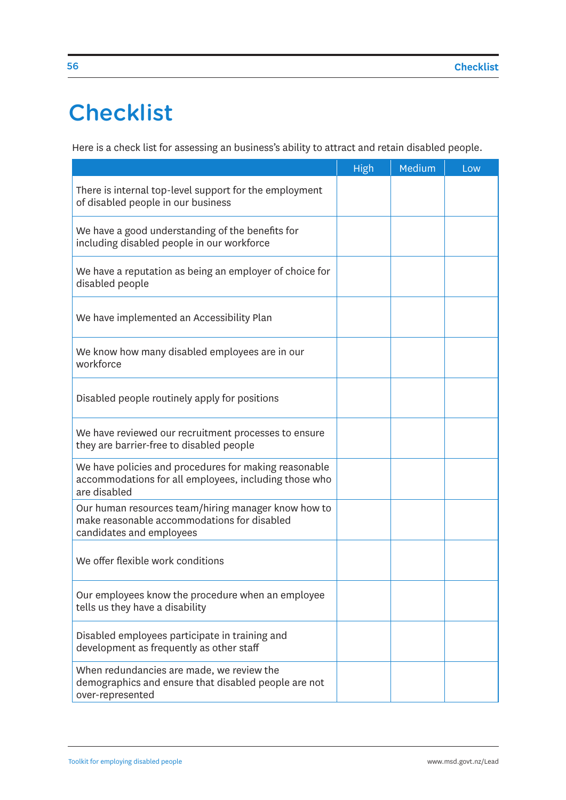### **Checklist**

Here is a check list for assessing an business's ability to attract and retain disabled people.

|                                                                                                                                | High | Medium | Low |
|--------------------------------------------------------------------------------------------------------------------------------|------|--------|-----|
| There is internal top-level support for the employment<br>of disabled people in our business                                   |      |        |     |
| We have a good understanding of the benefits for<br>including disabled people in our workforce                                 |      |        |     |
| We have a reputation as being an employer of choice for<br>disabled people                                                     |      |        |     |
| We have implemented an Accessibility Plan                                                                                      |      |        |     |
| We know how many disabled employees are in our<br>workforce                                                                    |      |        |     |
| Disabled people routinely apply for positions                                                                                  |      |        |     |
| We have reviewed our recruitment processes to ensure<br>they are barrier-free to disabled people                               |      |        |     |
| We have policies and procedures for making reasonable<br>accommodations for all employees, including those who<br>are disabled |      |        |     |
| Our human resources team/hiring manager know how to<br>make reasonable accommodations for disabled<br>candidates and employees |      |        |     |
| We offer flexible work conditions                                                                                              |      |        |     |
| Our employees know the procedure when an employee<br>tells us they have a disability                                           |      |        |     |
| Disabled employees participate in training and<br>development as frequently as other staff                                     |      |        |     |
| When redundancies are made, we review the<br>demographics and ensure that disabled people are not<br>over-represented          |      |        |     |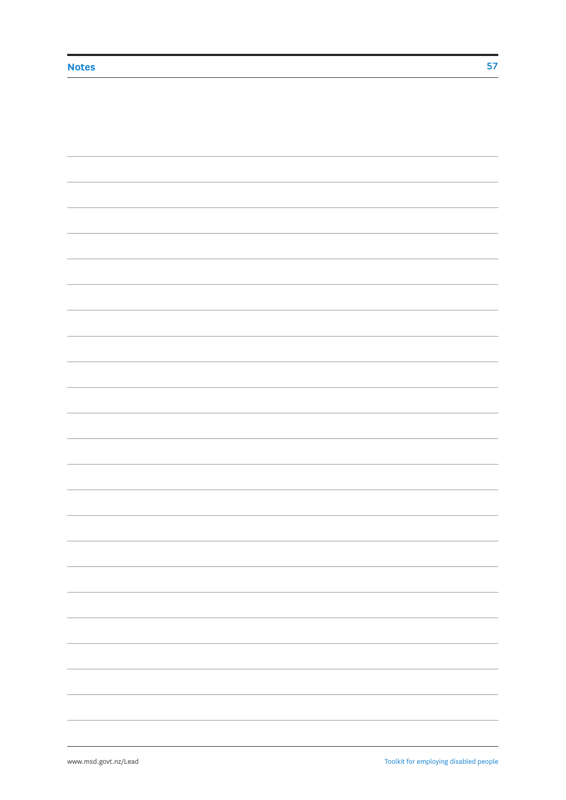| - |
|---|
|   |
|   |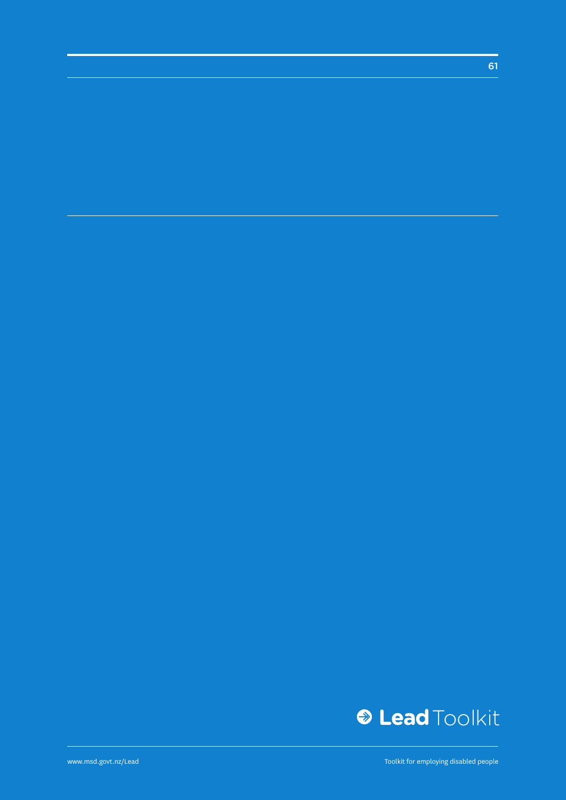

Toolkit for employing disabled people